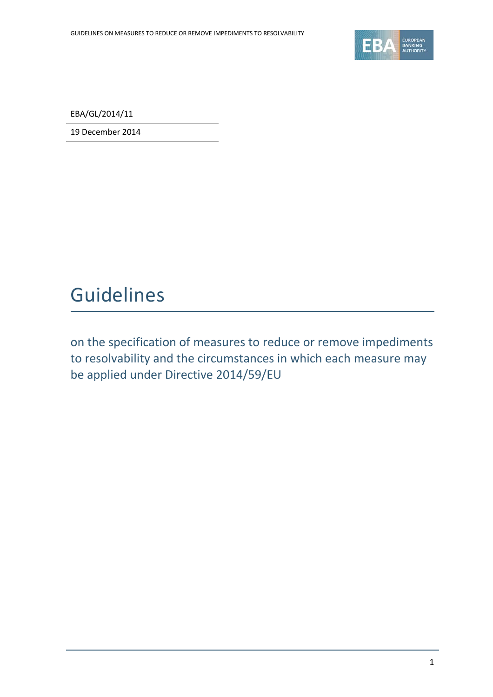

EBA/GL/2014/11

19 December 2014

## Guidelines

on the specification of measures to reduce or remove impediments to resolvability and the circumstances in which each measure may be applied under Directive 2014/59/EU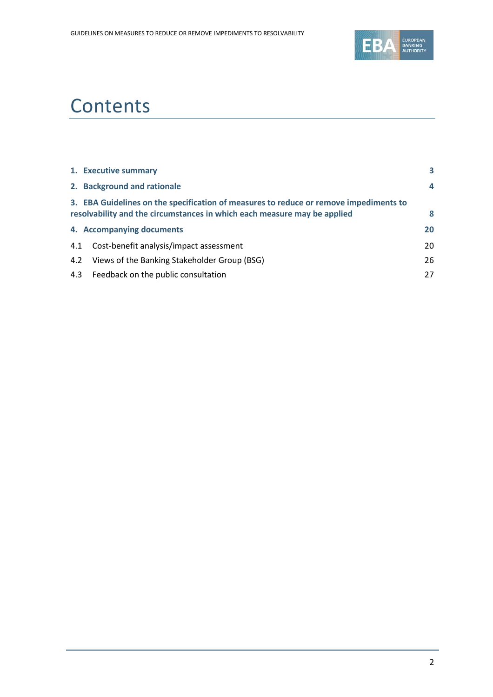

# **Contents**

|     | 1. Executive summary                                                                                                                                              | 3  |
|-----|-------------------------------------------------------------------------------------------------------------------------------------------------------------------|----|
|     | 2. Background and rationale                                                                                                                                       | 4  |
|     | 3. EBA Guidelines on the specification of measures to reduce or remove impediments to<br>resolvability and the circumstances in which each measure may be applied | 8  |
|     | 4. Accompanying documents                                                                                                                                         | 20 |
| 4.1 | Cost-benefit analysis/impact assessment                                                                                                                           | 20 |
| 4.2 | Views of the Banking Stakeholder Group (BSG)                                                                                                                      | 26 |
|     | 4.3 Feedback on the public consultation                                                                                                                           | 27 |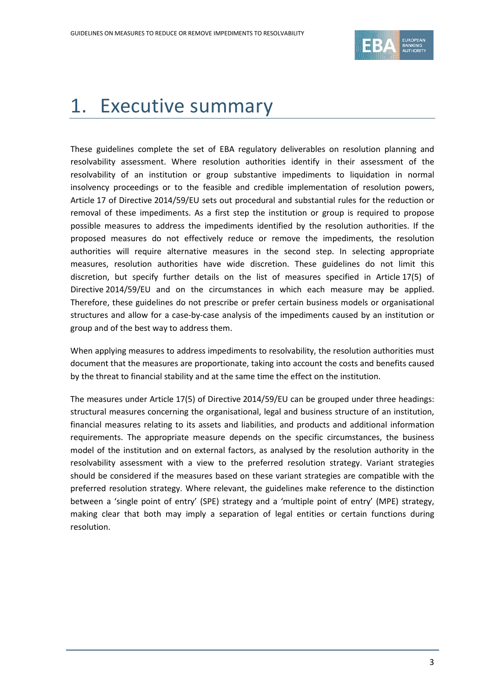

# <span id="page-2-0"></span>1. Executive summary

These guidelines complete the set of EBA regulatory deliverables on resolution planning and resolvability assessment. Where resolution authorities identify in their assessment of the resolvability of an institution or group substantive impediments to liquidation in normal insolvency proceedings or to the feasible and credible implementation of resolution powers, Article 17 of Directive 2014/59/EU sets out procedural and substantial rules for the reduction or removal of these impediments. As a first step the institution or group is required to propose possible measures to address the impediments identified by the resolution authorities. If the proposed measures do not effectively reduce or remove the impediments, the resolution authorities will require alternative measures in the second step. In selecting appropriate measures, resolution authorities have wide discretion. These guidelines do not limit this discretion, but specify further details on the list of measures specified in Article 17(5) of Directive 2014/59/EU and on the circumstances in which each measure may be applied. Therefore, these guidelines do not prescribe or prefer certain business models or organisational structures and allow for a case-by-case analysis of the impediments caused by an institution or group and of the best way to address them.

When applying measures to address impediments to resolvability, the resolution authorities must document that the measures are proportionate, taking into account the costs and benefits caused by the threat to financial stability and at the same time the effect on the institution.

The measures under Article 17(5) of Directive 2014/59/EU can be grouped under three headings: structural measures concerning the organisational, legal and business structure of an institution, financial measures relating to its assets and liabilities, and products and additional information requirements. The appropriate measure depends on the specific circumstances, the business model of the institution and on external factors, as analysed by the resolution authority in the resolvability assessment with a view to the preferred resolution strategy. Variant strategies should be considered if the measures based on these variant strategies are compatible with the preferred resolution strategy. Where relevant, the guidelines make reference to the distinction between a 'single point of entry' (SPE) strategy and a 'multiple point of entry' (MPE) strategy, making clear that both may imply a separation of legal entities or certain functions during resolution.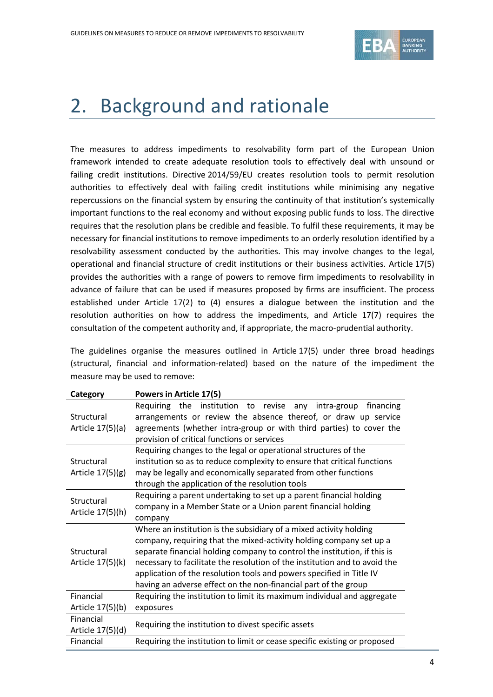

## <span id="page-3-0"></span>2. Background and rationale

The measures to address impediments to resolvability form part of the European Union framework intended to create adequate resolution tools to effectively deal with unsound or failing credit institutions. Directive 2014/59/EU creates resolution tools to permit resolution authorities to effectively deal with failing credit institutions while minimising any negative repercussions on the financial system by ensuring the continuity of that institution's systemically important functions to the real economy and without exposing public funds to loss. The directive requires that the resolution plans be credible and feasible. To fulfil these requirements, it may be necessary for financial institutions to remove impediments to an orderly resolution identified by a resolvability assessment conducted by the authorities. This may involve changes to the legal, operational and financial structure of credit institutions or their business activities. Article 17(5) provides the authorities with a range of powers to remove firm impediments to resolvability in advance of failure that can be used if measures proposed by firms are insufficient. The process established under Article 17(2) to (4) ensures a dialogue between the institution and the resolution authorities on how to address the impediments, and Article 17(7) requires the consultation of the competent authority and, if appropriate, the macro-prudential authority.

The guidelines organise the measures outlined in Article 17(5) under three broad headings (structural, financial and information-related) based on the nature of the impediment the measure may be used to remove:

| Category           | Powers in Article 17(5)                                                    |  |  |  |
|--------------------|----------------------------------------------------------------------------|--|--|--|
|                    | Requiring the institution to revise any intra-group<br>financing           |  |  |  |
| Structural         | arrangements or review the absence thereof, or draw up service             |  |  |  |
| Article 17(5)(a)   | agreements (whether intra-group or with third parties) to cover the        |  |  |  |
|                    | provision of critical functions or services                                |  |  |  |
|                    | Requiring changes to the legal or operational structures of the            |  |  |  |
| Structural         | institution so as to reduce complexity to ensure that critical functions   |  |  |  |
| Article $17(5)(g)$ | may be legally and economically separated from other functions             |  |  |  |
|                    | through the application of the resolution tools                            |  |  |  |
| Structural         | Requiring a parent undertaking to set up a parent financial holding        |  |  |  |
| Article 17(5)(h)   | company in a Member State or a Union parent financial holding              |  |  |  |
|                    | company                                                                    |  |  |  |
|                    | Where an institution is the subsidiary of a mixed activity holding         |  |  |  |
|                    | company, requiring that the mixed-activity holding company set up a        |  |  |  |
| Structural         | separate financial holding company to control the institution, if this is  |  |  |  |
| Article 17(5)(k)   | necessary to facilitate the resolution of the institution and to avoid the |  |  |  |
|                    | application of the resolution tools and powers specified in Title IV       |  |  |  |
|                    | having an adverse effect on the non-financial part of the group            |  |  |  |
| Financial          | Requiring the institution to limit its maximum individual and aggregate    |  |  |  |
| Article 17(5)(b)   | exposures                                                                  |  |  |  |
| Financial          | Requiring the institution to divest specific assets                        |  |  |  |
| Article 17(5)(d)   |                                                                            |  |  |  |
| Financial          | Requiring the institution to limit or cease specific existing or proposed  |  |  |  |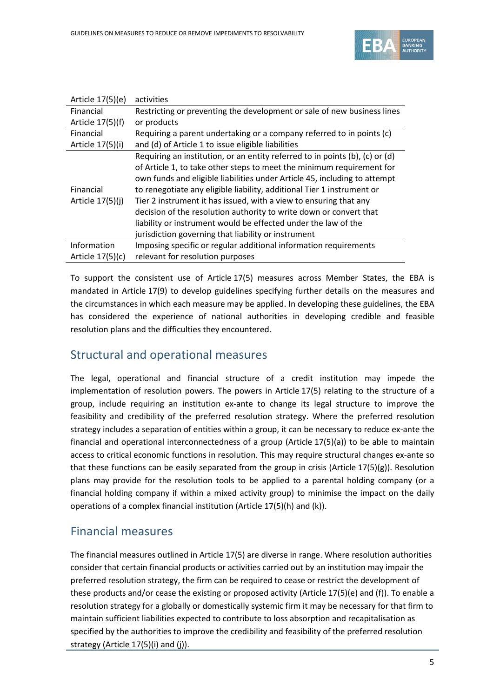

| Article 17(5)(e) | activities                                                                   |
|------------------|------------------------------------------------------------------------------|
| Financial        | Restricting or preventing the development or sale of new business lines      |
| Article 17(5)(f) | or products                                                                  |
| Financial        | Requiring a parent undertaking or a company referred to in points (c)        |
| Article 17(5)(i) | and (d) of Article 1 to issue eligible liabilities                           |
|                  | Requiring an institution, or an entity referred to in points (b), (c) or (d) |
|                  | of Article 1, to take other steps to meet the minimum requirement for        |
|                  | own funds and eligible liabilities under Article 45, including to attempt    |
| Financial        | to renegotiate any eligible liability, additional Tier 1 instrument or       |
| Article 17(5)(j) | Tier 2 instrument it has issued, with a view to ensuring that any            |
|                  | decision of the resolution authority to write down or convert that           |
|                  | liability or instrument would be effected under the law of the               |
|                  | jurisdiction governing that liability or instrument                          |
| Information      | Imposing specific or regular additional information requirements             |
| Article 17(5)(c) | relevant for resolution purposes                                             |

To support the consistent use of Article 17(5) measures across Member States, the EBA is mandated in Article 17(9) to develop guidelines specifying further details on the measures and the circumstances in which each measure may be applied. In developing these guidelines, the EBA has considered the experience of national authorities in developing credible and feasible resolution plans and the difficulties they encountered.

## Structural and operational measures

The legal, operational and financial structure of a credit institution may impede the implementation of resolution powers. The powers in Article 17(5) relating to the structure of a group, include requiring an institution ex-ante to change its legal structure to improve the feasibility and credibility of the preferred resolution strategy. Where the preferred resolution strategy includes a separation of entities within a group, it can be necessary to reduce ex-ante the financial and operational interconnectedness of a group (Article 17(5)(a)) to be able to maintain access to critical economic functions in resolution. This may require structural changes ex-ante so that these functions can be easily separated from the group in crisis (Article  $17(5)(g)$ ). Resolution plans may provide for the resolution tools to be applied to a parental holding company (or a financial holding company if within a mixed activity group) to minimise the impact on the daily operations of a complex financial institution (Article 17(5)(h) and (k)).

## Financial measures

The financial measures outlined in Article 17(5) are diverse in range. Where resolution authorities consider that certain financial products or activities carried out by an institution may impair the preferred resolution strategy, the firm can be required to cease or restrict the development of these products and/or cease the existing or proposed activity (Article 17(5)(e) and (f)). To enable a resolution strategy for a globally or domestically systemic firm it may be necessary for that firm to maintain sufficient liabilities expected to contribute to loss absorption and recapitalisation as specified by the authorities to improve the credibility and feasibility of the preferred resolution strategy (Article 17(5)(i) and (j)).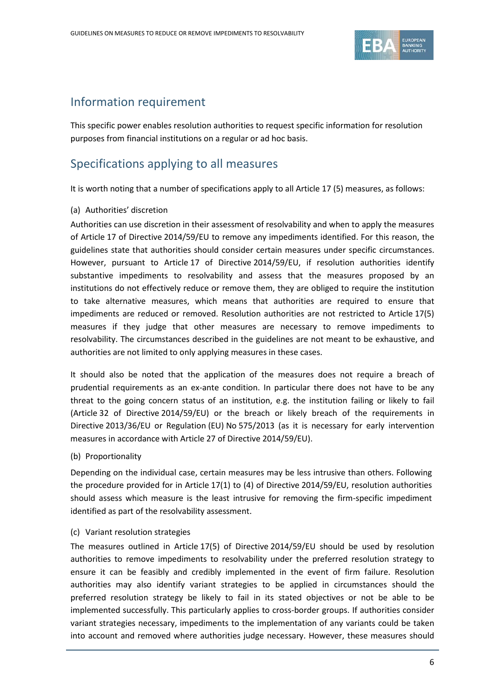

## Information requirement

This specific power enables resolution authorities to request specific information for resolution purposes from financial institutions on a regular or ad hoc basis.

## Specifications applying to all measures

It is worth noting that a number of specifications apply to all Article 17 (5) measures, as follows:

#### (a) Authorities' discretion

Authorities can use discretion in their assessment of resolvability and when to apply the measures of Article 17 of Directive 2014/59/EU to remove any impediments identified. For this reason, the guidelines state that authorities should consider certain measures under specific circumstances. However, pursuant to Article 17 of Directive 2014/59/EU, if resolution authorities identify substantive impediments to resolvability and assess that the measures proposed by an institutions do not effectively reduce or remove them, they are obliged to require the institution to take alternative measures, which means that authorities are required to ensure that impediments are reduced or removed. Resolution authorities are not restricted to Article 17(5) measures if they judge that other measures are necessary to remove impediments to resolvability. The circumstances described in the guidelines are not meant to be exhaustive, and authorities are not limited to only applying measures in these cases.

It should also be noted that the application of the measures does not require a breach of prudential requirements as an ex-ante condition. In particular there does not have to be any threat to the going concern status of an institution, e.g. the institution failing or likely to fail (Article 32 of Directive 2014/59/EU) or the breach or likely breach of the requirements in Directive 2013/36/EU or Regulation (EU) No 575/2013 (as it is necessary for early intervention measures in accordance with Article 27 of Directive 2014/59/EU).

(b) Proportionality

Depending on the individual case, certain measures may be less intrusive than others. Following the procedure provided for in Article 17(1) to (4) of Directive 2014/59/EU, resolution authorities should assess which measure is the least intrusive for removing the firm-specific impediment identified as part of the resolvability assessment.

#### (c) Variant resolution strategies

The measures outlined in Article 17(5) of Directive 2014/59/EU should be used by resolution authorities to remove impediments to resolvability under the preferred resolution strategy to ensure it can be feasibly and credibly implemented in the event of firm failure. Resolution authorities may also identify variant strategies to be applied in circumstances should the preferred resolution strategy be likely to fail in its stated objectives or not be able to be implemented successfully. This particularly applies to cross-border groups. If authorities consider variant strategies necessary, impediments to the implementation of any variants could be taken into account and removed where authorities judge necessary. However, these measures should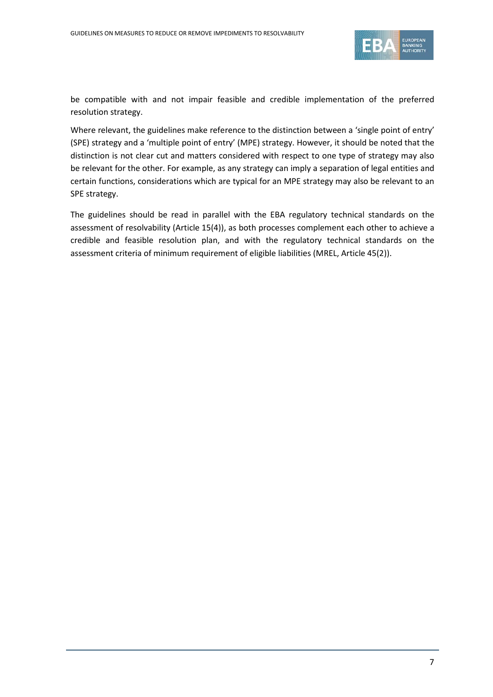

be compatible with and not impair feasible and credible implementation of the preferred resolution strategy.

Where relevant, the guidelines make reference to the distinction between a 'single point of entry' (SPE) strategy and a 'multiple point of entry' (MPE) strategy. However, it should be noted that the distinction is not clear cut and matters considered with respect to one type of strategy may also be relevant for the other. For example, as any strategy can imply a separation of legal entities and certain functions, considerations which are typical for an MPE strategy may also be relevant to an SPE strategy.

The guidelines should be read in parallel with the EBA regulatory technical standards on the assessment of resolvability (Article 15(4)), as both processes complement each other to achieve a credible and feasible resolution plan, and with the regulatory technical standards on the assessment criteria of minimum requirement of eligible liabilities (MREL, Article 45(2)).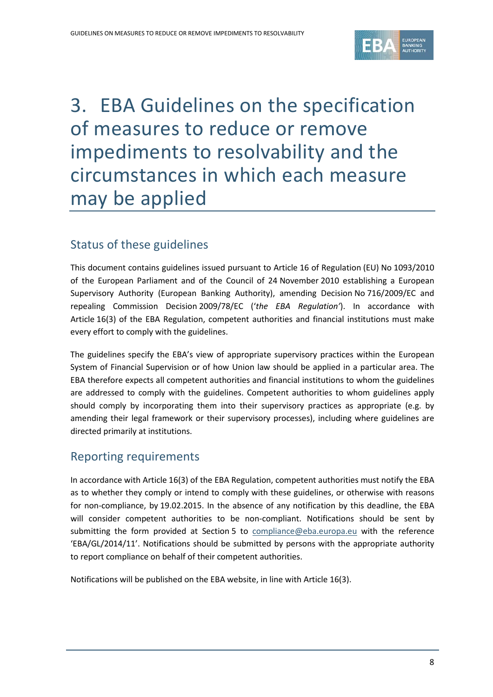

# <span id="page-7-0"></span>3. EBA Guidelines on the specification of measures to reduce or remove impediments to resolvability and the circumstances in which each measure may be applied

## Status of these guidelines

This document contains guidelines issued pursuant to Article 16 of Regulation (EU) No 1093/2010 of the European Parliament and of the Council of 24 November 2010 establishing a European Supervisory Authority (European Banking Authority), amending Decision No 716/2009/EC and repealing Commission Decision 2009/78/EC ('*the EBA Regulation'*). In accordance with Article 16(3) of the EBA Regulation, competent authorities and financial institutions must make every effort to comply with the guidelines.

The guidelines specify the EBA's view of appropriate supervisory practices within the European System of Financial Supervision or of how Union law should be applied in a particular area. The EBA therefore expects all competent authorities and financial institutions to whom the guidelines are addressed to comply with the guidelines. Competent authorities to whom guidelines apply should comply by incorporating them into their supervisory practices as appropriate (e.g. by amending their legal framework or their supervisory processes), including where guidelines are directed primarily at institutions.

## Reporting requirements

In accordance with Article 16(3) of the EBA Regulation, competent authorities must notify the EBA as to whether they comply or intend to comply with these guidelines, or otherwise with reasons for non-compliance, by 19.02.2015. In the absence of any notification by this deadline, the EBA will consider competent authorities to be non-compliant. Notifications should be sent by submitting the form provided at Section 5 to [compliance@eba.europa.eu](mailto:compliance@eba.europa.eu) with the reference 'EBA/GL/2014/11'. Notifications should be submitted by persons with the appropriate authority to report compliance on behalf of their competent authorities.

Notifications will be published on the EBA website, in line with Article 16(3).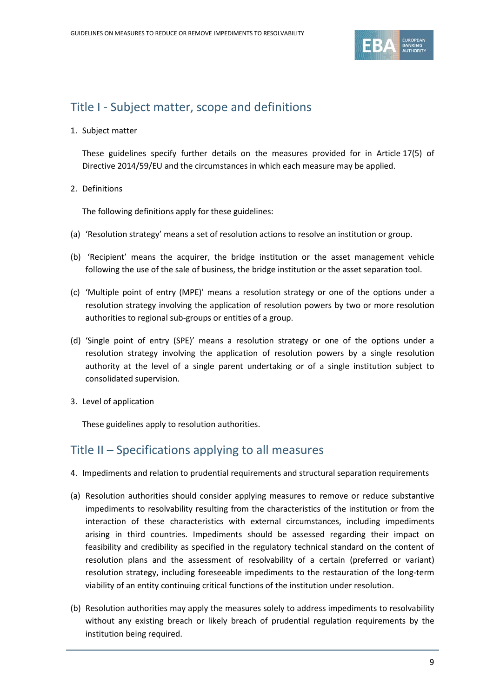

## Title I - Subject matter, scope and definitions

1. Subject matter

These guidelines specify further details on the measures provided for in Article 17(5) of Directive 2014/59/EU and the circumstances in which each measure may be applied.

2. Definitions

The following definitions apply for these guidelines:

- (a) 'Resolution strategy' means a set of resolution actions to resolve an institution or group.
- (b) 'Recipient' means the acquirer, the bridge institution or the asset management vehicle following the use of the sale of business, the bridge institution or the asset separation tool.
- (c) 'Multiple point of entry (MPE)' means a resolution strategy or one of the options under a resolution strategy involving the application of resolution powers by two or more resolution authorities to regional sub-groups or entities of a group.
- (d) 'Single point of entry (SPE)' means a resolution strategy or one of the options under a resolution strategy involving the application of resolution powers by a single resolution authority at the level of a single parent undertaking or of a single institution subject to consolidated supervision.
- 3. Level of application

These guidelines apply to resolution authorities.

## Title II – Specifications applying to all measures

- 4. Impediments and relation to prudential requirements and structural separation requirements
- (a) Resolution authorities should consider applying measures to remove or reduce substantive impediments to resolvability resulting from the characteristics of the institution or from the interaction of these characteristics with external circumstances, including impediments arising in third countries. Impediments should be assessed regarding their impact on feasibility and credibility as specified in the regulatory technical standard on the content of resolution plans and the assessment of resolvability of a certain (preferred or variant) resolution strategy, including foreseeable impediments to the restauration of the long-term viability of an entity continuing critical functions of the institution under resolution.
- (b) Resolution authorities may apply the measures solely to address impediments to resolvability without any existing breach or likely breach of prudential regulation requirements by the institution being required.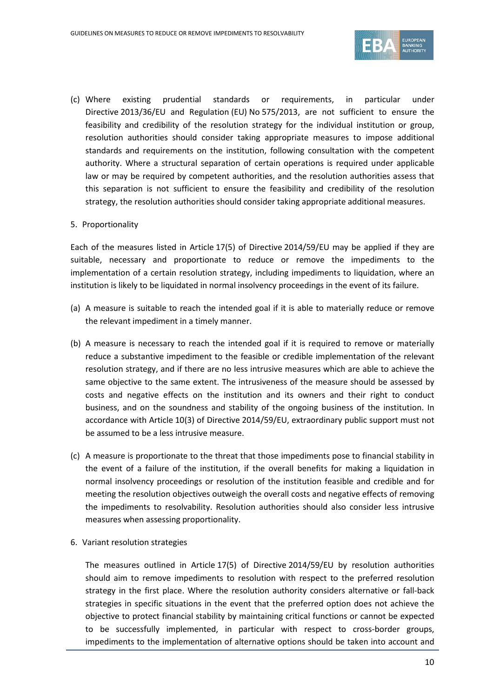

(c) Where existing prudential standards or requirements, in particular under Directive 2013/36/EU and Regulation (EU) No 575/2013, are not sufficient to ensure the feasibility and credibility of the resolution strategy for the individual institution or group, resolution authorities should consider taking appropriate measures to impose additional standards and requirements on the institution, following consultation with the competent authority. Where a structural separation of certain operations is required under applicable law or may be required by competent authorities, and the resolution authorities assess that this separation is not sufficient to ensure the feasibility and credibility of the resolution strategy, the resolution authorities should consider taking appropriate additional measures.

#### 5. Proportionality

Each of the measures listed in Article 17(5) of Directive 2014/59/EU may be applied if they are suitable, necessary and proportionate to reduce or remove the impediments to the implementation of a certain resolution strategy, including impediments to liquidation, where an institution is likely to be liquidated in normal insolvency proceedings in the event of its failure.

- (a) A measure is suitable to reach the intended goal if it is able to materially reduce or remove the relevant impediment in a timely manner.
- (b) A measure is necessary to reach the intended goal if it is required to remove or materially reduce a substantive impediment to the feasible or credible implementation of the relevant resolution strategy, and if there are no less intrusive measures which are able to achieve the same objective to the same extent. The intrusiveness of the measure should be assessed by costs and negative effects on the institution and its owners and their right to conduct business, and on the soundness and stability of the ongoing business of the institution. In accordance with Article 10(3) of Directive 2014/59/EU, extraordinary public support must not be assumed to be a less intrusive measure.
- (c) A measure is proportionate to the threat that those impediments pose to financial stability in the event of a failure of the institution, if the overall benefits for making a liquidation in normal insolvency proceedings or resolution of the institution feasible and credible and for meeting the resolution objectives outweigh the overall costs and negative effects of removing the impediments to resolvability. Resolution authorities should also consider less intrusive measures when assessing proportionality.
- 6. Variant resolution strategies

The measures outlined in Article 17(5) of Directive 2014/59/EU by resolution authorities should aim to remove impediments to resolution with respect to the preferred resolution strategy in the first place. Where the resolution authority considers alternative or fall-back strategies in specific situations in the event that the preferred option does not achieve the objective to protect financial stability by maintaining critical functions or cannot be expected to be successfully implemented, in particular with respect to cross-border groups, impediments to the implementation of alternative options should be taken into account and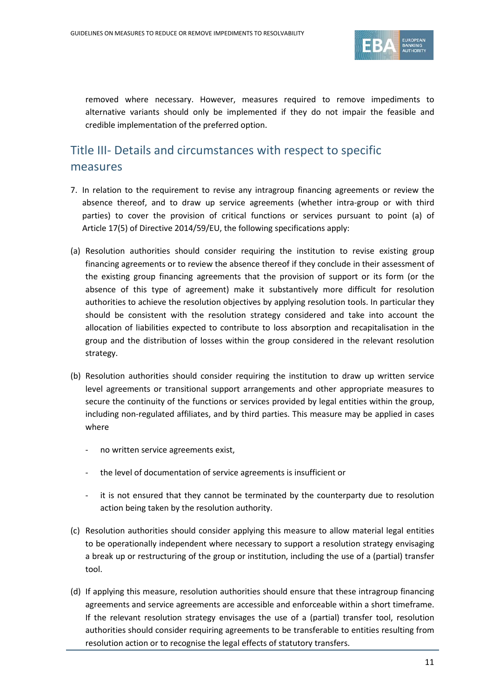

removed where necessary. However, measures required to remove impediments to alternative variants should only be implemented if they do not impair the feasible and credible implementation of the preferred option.

## Title III- Details and circumstances with respect to specific measures

- 7. In relation to the requirement to revise any intragroup financing agreements or review the absence thereof, and to draw up service agreements (whether intra-group or with third parties) to cover the provision of critical functions or services pursuant to point (a) of Article 17(5) of Directive 2014/59/EU, the following specifications apply:
- (a) Resolution authorities should consider requiring the institution to revise existing group financing agreements or to review the absence thereof if they conclude in their assessment of the existing group financing agreements that the provision of support or its form (or the absence of this type of agreement) make it substantively more difficult for resolution authorities to achieve the resolution objectives by applying resolution tools. In particular they should be consistent with the resolution strategy considered and take into account the allocation of liabilities expected to contribute to loss absorption and recapitalisation in the group and the distribution of losses within the group considered in the relevant resolution strategy.
- (b) Resolution authorities should consider requiring the institution to draw up written service level agreements or transitional support arrangements and other appropriate measures to secure the continuity of the functions or services provided by legal entities within the group, including non-regulated affiliates, and by third parties. This measure may be applied in cases where
	- no written service agreements exist,
	- the level of documentation of service agreements is insufficient or
	- it is not ensured that they cannot be terminated by the counterparty due to resolution action being taken by the resolution authority.
- (c) Resolution authorities should consider applying this measure to allow material legal entities to be operationally independent where necessary to support a resolution strategy envisaging a break up or restructuring of the group or institution, including the use of a (partial) transfer tool.
- (d) If applying this measure, resolution authorities should ensure that these intragroup financing agreements and service agreements are accessible and enforceable within a short timeframe. If the relevant resolution strategy envisages the use of a (partial) transfer tool, resolution authorities should consider requiring agreements to be transferable to entities resulting from resolution action or to recognise the legal effects of statutory transfers.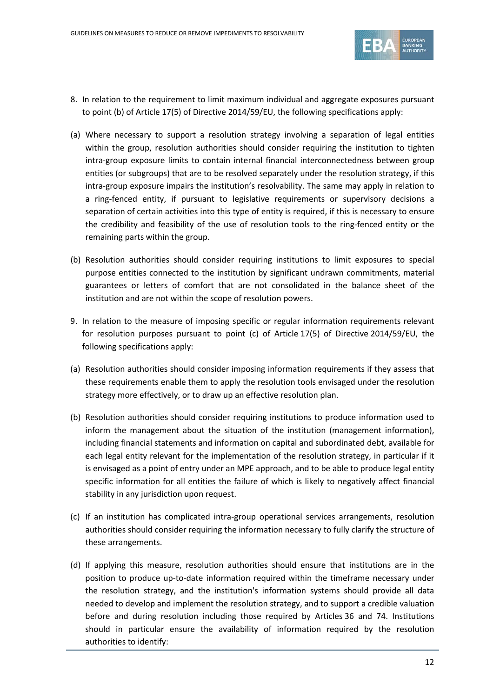

- 8. In relation to the requirement to limit maximum individual and aggregate exposures pursuant to point (b) of Article 17(5) of Directive 2014/59/EU, the following specifications apply:
- (a) Where necessary to support a resolution strategy involving a separation of legal entities within the group, resolution authorities should consider requiring the institution to tighten intra-group exposure limits to contain internal financial interconnectedness between group entities (or subgroups) that are to be resolved separately under the resolution strategy, if this intra-group exposure impairs the institution's resolvability. The same may apply in relation to a ring-fenced entity, if pursuant to legislative requirements or supervisory decisions a separation of certain activities into this type of entity is required, if this is necessary to ensure the credibility and feasibility of the use of resolution tools to the ring-fenced entity or the remaining parts within the group.
- (b) Resolution authorities should consider requiring institutions to limit exposures to special purpose entities connected to the institution by significant undrawn commitments, material guarantees or letters of comfort that are not consolidated in the balance sheet of the institution and are not within the scope of resolution powers.
- 9. In relation to the measure of imposing specific or regular information requirements relevant for resolution purposes pursuant to point (c) of Article 17(5) of Directive 2014/59/EU, the following specifications apply:
- (a) Resolution authorities should consider imposing information requirements if they assess that these requirements enable them to apply the resolution tools envisaged under the resolution strategy more effectively, or to draw up an effective resolution plan.
- (b) Resolution authorities should consider requiring institutions to produce information used to inform the management about the situation of the institution (management information), including financial statements and information on capital and subordinated debt, available for each legal entity relevant for the implementation of the resolution strategy, in particular if it is envisaged as a point of entry under an MPE approach, and to be able to produce legal entity specific information for all entities the failure of which is likely to negatively affect financial stability in any jurisdiction upon request.
- (c) If an institution has complicated intra-group operational services arrangements, resolution authorities should consider requiring the information necessary to fully clarify the structure of these arrangements.
- (d) If applying this measure, resolution authorities should ensure that institutions are in the position to produce up-to-date information required within the timeframe necessary under the resolution strategy, and the institution's information systems should provide all data needed to develop and implement the resolution strategy, and to support a credible valuation before and during resolution including those required by Articles 36 and 74. Institutions should in particular ensure the availability of information required by the resolution authorities to identify: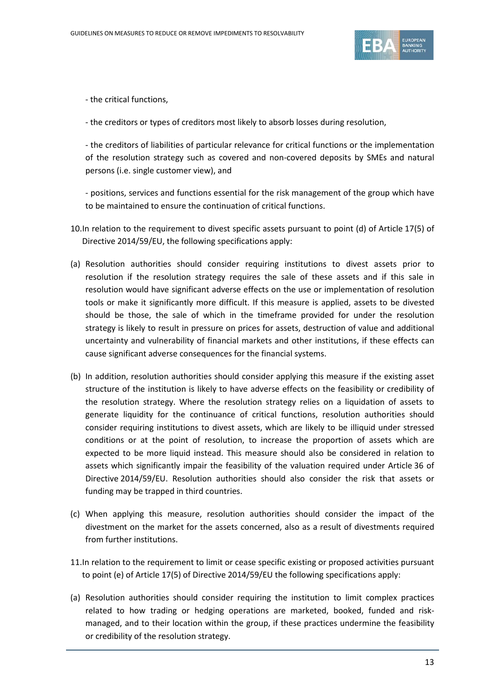

- the critical functions,

- the creditors or types of creditors most likely to absorb losses during resolution,

- the creditors of liabilities of particular relevance for critical functions or the implementation of the resolution strategy such as covered and non-covered deposits by SMEs and natural persons (i.e. single customer view), and

- positions, services and functions essential for the risk management of the group which have to be maintained to ensure the continuation of critical functions.

- 10.In relation to the requirement to divest specific assets pursuant to point (d) of Article 17(5) of Directive 2014/59/EU, the following specifications apply:
- (a) Resolution authorities should consider requiring institutions to divest assets prior to resolution if the resolution strategy requires the sale of these assets and if this sale in resolution would have significant adverse effects on the use or implementation of resolution tools or make it significantly more difficult. If this measure is applied, assets to be divested should be those, the sale of which in the timeframe provided for under the resolution strategy is likely to result in pressure on prices for assets, destruction of value and additional uncertainty and vulnerability of financial markets and other institutions, if these effects can cause significant adverse consequences for the financial systems.
- (b) In addition, resolution authorities should consider applying this measure if the existing asset structure of the institution is likely to have adverse effects on the feasibility or credibility of the resolution strategy. Where the resolution strategy relies on a liquidation of assets to generate liquidity for the continuance of critical functions, resolution authorities should consider requiring institutions to divest assets, which are likely to be illiquid under stressed conditions or at the point of resolution, to increase the proportion of assets which are expected to be more liquid instead. This measure should also be considered in relation to assets which significantly impair the feasibility of the valuation required under Article 36 of Directive 2014/59/EU. Resolution authorities should also consider the risk that assets or funding may be trapped in third countries.
- (c) When applying this measure, resolution authorities should consider the impact of the divestment on the market for the assets concerned, also as a result of divestments required from further institutions.
- 11.In relation to the requirement to limit or cease specific existing or proposed activities pursuant to point (e) of Article 17(5) of Directive 2014/59/EU the following specifications apply:
- (a) Resolution authorities should consider requiring the institution to limit complex practices related to how trading or hedging operations are marketed, booked, funded and riskmanaged, and to their location within the group, if these practices undermine the feasibility or credibility of the resolution strategy.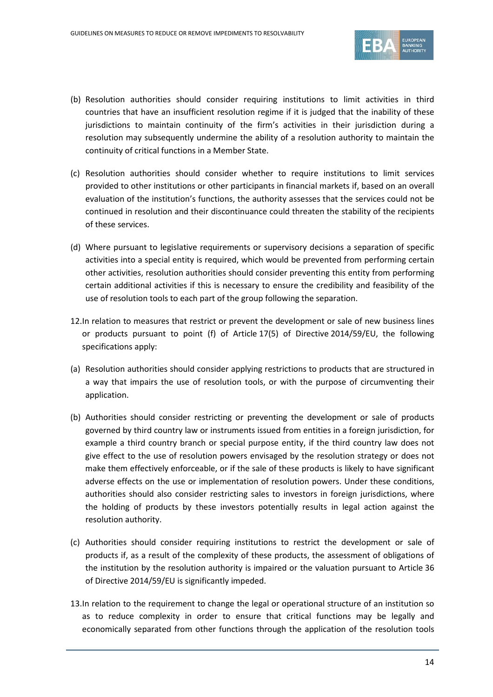

- (b) Resolution authorities should consider requiring institutions to limit activities in third countries that have an insufficient resolution regime if it is judged that the inability of these jurisdictions to maintain continuity of the firm's activities in their jurisdiction during a resolution may subsequently undermine the ability of a resolution authority to maintain the continuity of critical functions in a Member State.
- (c) Resolution authorities should consider whether to require institutions to limit services provided to other institutions or other participants in financial markets if, based on an overall evaluation of the institution's functions, the authority assesses that the services could not be continued in resolution and their discontinuance could threaten the stability of the recipients of these services.
- (d) Where pursuant to legislative requirements or supervisory decisions a separation of specific activities into a special entity is required, which would be prevented from performing certain other activities, resolution authorities should consider preventing this entity from performing certain additional activities if this is necessary to ensure the credibility and feasibility of the use of resolution tools to each part of the group following the separation.
- 12.In relation to measures that restrict or prevent the development or sale of new business lines or products pursuant to point (f) of Article 17(5) of Directive 2014/59/EU, the following specifications apply:
- (a) Resolution authorities should consider applying restrictions to products that are structured in a way that impairs the use of resolution tools, or with the purpose of circumventing their application.
- (b) Authorities should consider restricting or preventing the development or sale of products governed by third country law or instruments issued from entities in a foreign jurisdiction, for example a third country branch or special purpose entity, if the third country law does not give effect to the use of resolution powers envisaged by the resolution strategy or does not make them effectively enforceable, or if the sale of these products is likely to have significant adverse effects on the use or implementation of resolution powers. Under these conditions, authorities should also consider restricting sales to investors in foreign jurisdictions, where the holding of products by these investors potentially results in legal action against the resolution authority.
- (c) Authorities should consider requiring institutions to restrict the development or sale of products if, as a result of the complexity of these products, the assessment of obligations of the institution by the resolution authority is impaired or the valuation pursuant to Article 36 of Directive 2014/59/EU is significantly impeded.
- 13.In relation to the requirement to change the legal or operational structure of an institution so as to reduce complexity in order to ensure that critical functions may be legally and economically separated from other functions through the application of the resolution tools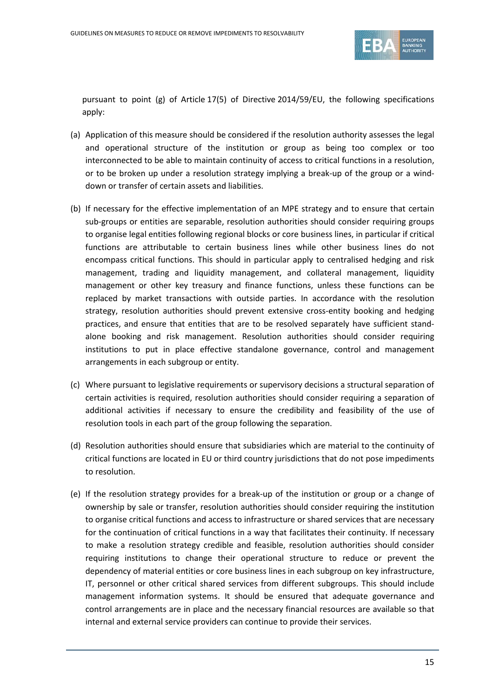

pursuant to point (g) of Article 17(5) of Directive 2014/59/EU, the following specifications apply:

- (a) Application of this measure should be considered if the resolution authority assesses the legal and operational structure of the institution or group as being too complex or too interconnected to be able to maintain continuity of access to critical functions in a resolution, or to be broken up under a resolution strategy implying a break-up of the group or a winddown or transfer of certain assets and liabilities.
- (b) If necessary for the effective implementation of an MPE strategy and to ensure that certain sub-groups or entities are separable, resolution authorities should consider requiring groups to organise legal entities following regional blocks or core business lines, in particular if critical functions are attributable to certain business lines while other business lines do not encompass critical functions. This should in particular apply to centralised hedging and risk management, trading and liquidity management, and collateral management, liquidity management or other key treasury and finance functions, unless these functions can be replaced by market transactions with outside parties. In accordance with the resolution strategy, resolution authorities should prevent extensive cross-entity booking and hedging practices, and ensure that entities that are to be resolved separately have sufficient standalone booking and risk management. Resolution authorities should consider requiring institutions to put in place effective standalone governance, control and management arrangements in each subgroup or entity.
- (c) Where pursuant to legislative requirements or supervisory decisions a structural separation of certain activities is required, resolution authorities should consider requiring a separation of additional activities if necessary to ensure the credibility and feasibility of the use of resolution tools in each part of the group following the separation.
- (d) Resolution authorities should ensure that subsidiaries which are material to the continuity of critical functions are located in EU or third country jurisdictions that do not pose impediments to resolution.
- (e) If the resolution strategy provides for a break-up of the institution or group or a change of ownership by sale or transfer, resolution authorities should consider requiring the institution to organise critical functions and access to infrastructure or shared services that are necessary for the continuation of critical functions in a way that facilitates their continuity. If necessary to make a resolution strategy credible and feasible, resolution authorities should consider requiring institutions to change their operational structure to reduce or prevent the dependency of material entities or core business lines in each subgroup on key infrastructure, IT, personnel or other critical shared services from different subgroups. This should include management information systems. It should be ensured that adequate governance and control arrangements are in place and the necessary financial resources are available so that internal and external service providers can continue to provide their services.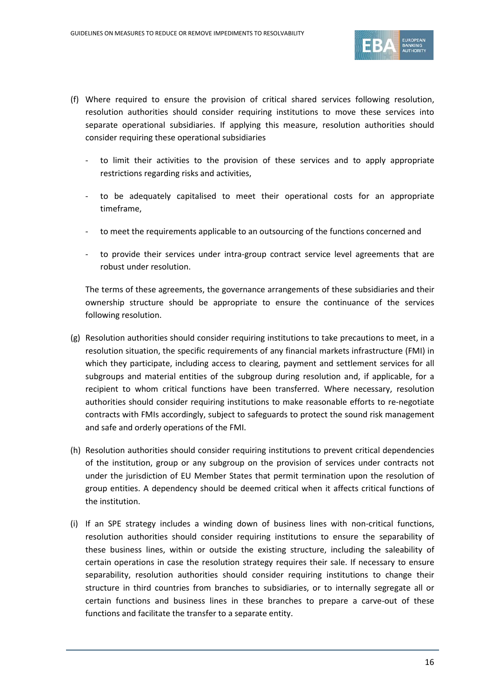

- (f) Where required to ensure the provision of critical shared services following resolution, resolution authorities should consider requiring institutions to move these services into separate operational subsidiaries. If applying this measure, resolution authorities should consider requiring these operational subsidiaries
	- to limit their activities to the provision of these services and to apply appropriate restrictions regarding risks and activities,
	- to be adequately capitalised to meet their operational costs for an appropriate timeframe,
	- to meet the requirements applicable to an outsourcing of the functions concerned and
	- to provide their services under intra-group contract service level agreements that are robust under resolution.

The terms of these agreements, the governance arrangements of these subsidiaries and their ownership structure should be appropriate to ensure the continuance of the services following resolution.

- (g) Resolution authorities should consider requiring institutions to take precautions to meet, in a resolution situation, the specific requirements of any financial markets infrastructure (FMI) in which they participate, including access to clearing, payment and settlement services for all subgroups and material entities of the subgroup during resolution and, if applicable, for a recipient to whom critical functions have been transferred. Where necessary, resolution authorities should consider requiring institutions to make reasonable efforts to re-negotiate contracts with FMIs accordingly, subject to safeguards to protect the sound risk management and safe and orderly operations of the FMI.
- (h) Resolution authorities should consider requiring institutions to prevent critical dependencies of the institution, group or any subgroup on the provision of services under contracts not under the jurisdiction of EU Member States that permit termination upon the resolution of group entities. A dependency should be deemed critical when it affects critical functions of the institution.
- (i) If an SPE strategy includes a winding down of business lines with non-critical functions, resolution authorities should consider requiring institutions to ensure the separability of these business lines, within or outside the existing structure, including the saleability of certain operations in case the resolution strategy requires their sale. If necessary to ensure separability, resolution authorities should consider requiring institutions to change their structure in third countries from branches to subsidiaries, or to internally segregate all or certain functions and business lines in these branches to prepare a carve-out of these functions and facilitate the transfer to a separate entity.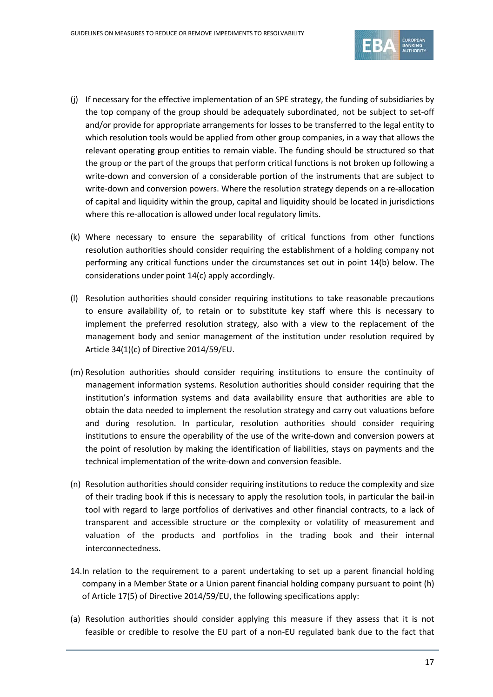

- (j) If necessary for the effective implementation of an SPE strategy, the funding of subsidiaries by the top company of the group should be adequately subordinated, not be subject to set-off and/or provide for appropriate arrangements for losses to be transferred to the legal entity to which resolution tools would be applied from other group companies, in a way that allows the relevant operating group entities to remain viable. The funding should be structured so that the group or the part of the groups that perform critical functions is not broken up following a write-down and conversion of a considerable portion of the instruments that are subject to write-down and conversion powers. Where the resolution strategy depends on a re-allocation of capital and liquidity within the group, capital and liquidity should be located in jurisdictions where this re-allocation is allowed under local regulatory limits.
- (k) Where necessary to ensure the separability of critical functions from other functions resolution authorities should consider requiring the establishment of a holding company not performing any critical functions under the circumstances set out in point 14(b) below. The considerations under point 14(c) apply accordingly.
- (l) Resolution authorities should consider requiring institutions to take reasonable precautions to ensure availability of, to retain or to substitute key staff where this is necessary to implement the preferred resolution strategy, also with a view to the replacement of the management body and senior management of the institution under resolution required by Article 34(1)(c) of Directive 2014/59/EU.
- (m) Resolution authorities should consider requiring institutions to ensure the continuity of management information systems. Resolution authorities should consider requiring that the institution's information systems and data availability ensure that authorities are able to obtain the data needed to implement the resolution strategy and carry out valuations before and during resolution. In particular, resolution authorities should consider requiring institutions to ensure the operability of the use of the write-down and conversion powers at the point of resolution by making the identification of liabilities, stays on payments and the technical implementation of the write-down and conversion feasible.
- (n) Resolution authorities should consider requiring institutions to reduce the complexity and size of their trading book if this is necessary to apply the resolution tools, in particular the bail-in tool with regard to large portfolios of derivatives and other financial contracts, to a lack of transparent and accessible structure or the complexity or volatility of measurement and valuation of the products and portfolios in the trading book and their internal interconnectedness.
- 14.In relation to the requirement to a parent undertaking to set up a parent financial holding company in a Member State or a Union parent financial holding company pursuant to point (h) of Article 17(5) of Directive 2014/59/EU, the following specifications apply:
- (a) Resolution authorities should consider applying this measure if they assess that it is not feasible or credible to resolve the EU part of a non-EU regulated bank due to the fact that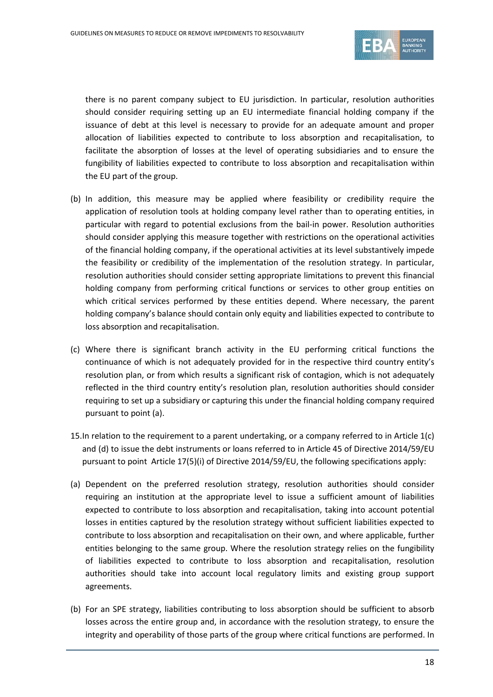

there is no parent company subject to EU jurisdiction. In particular, resolution authorities should consider requiring setting up an EU intermediate financial holding company if the issuance of debt at this level is necessary to provide for an adequate amount and proper allocation of liabilities expected to contribute to loss absorption and recapitalisation, to facilitate the absorption of losses at the level of operating subsidiaries and to ensure the fungibility of liabilities expected to contribute to loss absorption and recapitalisation within the EU part of the group.

- (b) In addition, this measure may be applied where feasibility or credibility require the application of resolution tools at holding company level rather than to operating entities, in particular with regard to potential exclusions from the bail-in power. Resolution authorities should consider applying this measure together with restrictions on the operational activities of the financial holding company, if the operational activities at its level substantively impede the feasibility or credibility of the implementation of the resolution strategy. In particular, resolution authorities should consider setting appropriate limitations to prevent this financial holding company from performing critical functions or services to other group entities on which critical services performed by these entities depend. Where necessary, the parent holding company's balance should contain only equity and liabilities expected to contribute to loss absorption and recapitalisation.
- (c) Where there is significant branch activity in the EU performing critical functions the continuance of which is not adequately provided for in the respective third country entity's resolution plan, or from which results a significant risk of contagion, which is not adequately reflected in the third country entity's resolution plan, resolution authorities should consider requiring to set up a subsidiary or capturing this under the financial holding company required pursuant to point (a).
- 15.In relation to the requirement to a parent undertaking, or a company referred to in Article 1(c) and (d) to issue the debt instruments or loans referred to in Article 45 of Directive 2014/59/EU pursuant to point Article 17(5)(i) of Directive 2014/59/EU, the following specifications apply:
- (a) Dependent on the preferred resolution strategy, resolution authorities should consider requiring an institution at the appropriate level to issue a sufficient amount of liabilities expected to contribute to loss absorption and recapitalisation, taking into account potential losses in entities captured by the resolution strategy without sufficient liabilities expected to contribute to loss absorption and recapitalisation on their own, and where applicable, further entities belonging to the same group. Where the resolution strategy relies on the fungibility of liabilities expected to contribute to loss absorption and recapitalisation, resolution authorities should take into account local regulatory limits and existing group support agreements.
- (b) For an SPE strategy, liabilities contributing to loss absorption should be sufficient to absorb losses across the entire group and, in accordance with the resolution strategy, to ensure the integrity and operability of those parts of the group where critical functions are performed. In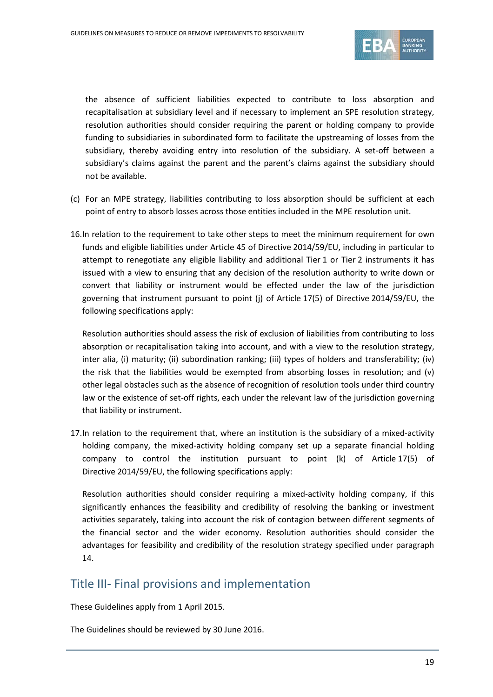

the absence of sufficient liabilities expected to contribute to loss absorption and recapitalisation at subsidiary level and if necessary to implement an SPE resolution strategy, resolution authorities should consider requiring the parent or holding company to provide funding to subsidiaries in subordinated form to facilitate the upstreaming of losses from the subsidiary, thereby avoiding entry into resolution of the subsidiary. A set-off between a subsidiary's claims against the parent and the parent's claims against the subsidiary should not be available.

- (c) For an MPE strategy, liabilities contributing to loss absorption should be sufficient at each point of entry to absorb losses across those entities included in the MPE resolution unit.
- 16.In relation to the requirement to take other steps to meet the minimum requirement for own funds and eligible liabilities under Article 45 of Directive 2014/59/EU, including in particular to attempt to renegotiate any eligible liability and additional Tier 1 or Tier 2 instruments it has issued with a view to ensuring that any decision of the resolution authority to write down or convert that liability or instrument would be effected under the law of the jurisdiction governing that instrument pursuant to point (j) of Article 17(5) of Directive 2014/59/EU, the following specifications apply:

Resolution authorities should assess the risk of exclusion of liabilities from contributing to loss absorption or recapitalisation taking into account, and with a view to the resolution strategy, inter alia, (i) maturity; (ii) subordination ranking; (iii) types of holders and transferability; (iv) the risk that the liabilities would be exempted from absorbing losses in resolution; and (v) other legal obstacles such as the absence of recognition of resolution tools under third country law or the existence of set-off rights, each under the relevant law of the jurisdiction governing that liability or instrument.

17.In relation to the requirement that, where an institution is the subsidiary of a mixed-activity holding company, the mixed-activity holding company set up a separate financial holding company to control the institution pursuant to point (k) of Article 17(5) of Directive 2014/59/EU, the following specifications apply:

Resolution authorities should consider requiring a mixed-activity holding company, if this significantly enhances the feasibility and credibility of resolving the banking or investment activities separately, taking into account the risk of contagion between different segments of the financial sector and the wider economy. Resolution authorities should consider the advantages for feasibility and credibility of the resolution strategy specified under paragraph 14.

### Title III- Final provisions and implementation

These Guidelines apply from 1 April 2015.

The Guidelines should be reviewed by 30 June 2016.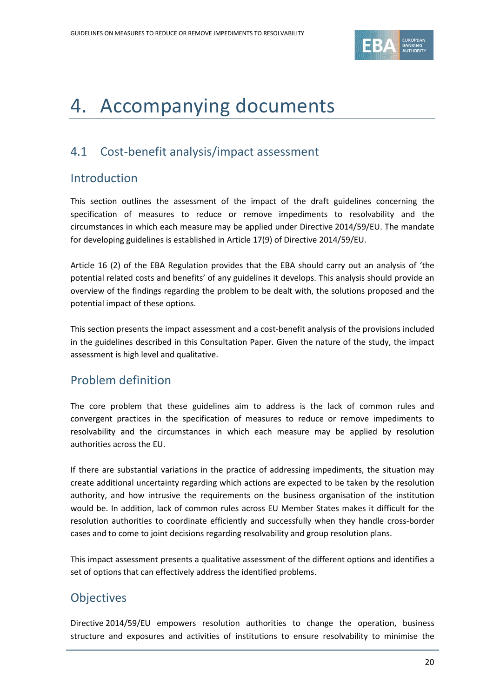

## <span id="page-19-0"></span>4. Accompanying documents

## <span id="page-19-1"></span>4.1 Cost-benefit analysis/impact assessment

### Introduction

This section outlines the assessment of the impact of the draft guidelines concerning the specification of measures to reduce or remove impediments to resolvability and the circumstances in which each measure may be applied under Directive 2014/59/EU. The mandate for developing guidelines is established in Article 17(9) of Directive 2014/59/EU.

Article 16 (2) of the EBA Regulation provides that the EBA should carry out an analysis of 'the potential related costs and benefits' of any guidelines it develops. This analysis should provide an overview of the findings regarding the problem to be dealt with, the solutions proposed and the potential impact of these options.

This section presents the impact assessment and a cost-benefit analysis of the provisions included in the guidelines described in this Consultation Paper. Given the nature of the study, the impact assessment is high level and qualitative.

## Problem definition

The core problem that these guidelines aim to address is the lack of common rules and convergent practices in the specification of measures to reduce or remove impediments to resolvability and the circumstances in which each measure may be applied by resolution authorities across the EU.

If there are substantial variations in the practice of addressing impediments, the situation may create additional uncertainty regarding which actions are expected to be taken by the resolution authority, and how intrusive the requirements on the business organisation of the institution would be. In addition, lack of common rules across EU Member States makes it difficult for the resolution authorities to coordinate efficiently and successfully when they handle cross-border cases and to come to joint decisions regarding resolvability and group resolution plans.

This impact assessment presents a qualitative assessment of the different options and identifies a set of options that can effectively address the identified problems.

## **Objectives**

Directive 2014/59/EU empowers resolution authorities to change the operation, business structure and exposures and activities of institutions to ensure resolvability to minimise the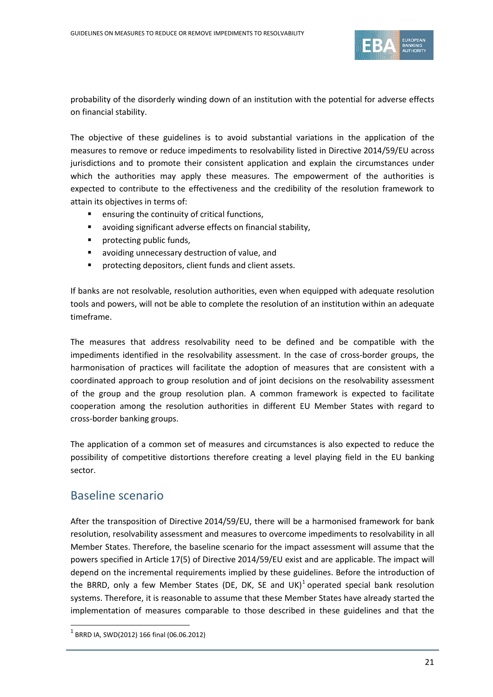

probability of the disorderly winding down of an institution with the potential for adverse effects on financial stability.

The objective of these guidelines is to avoid substantial variations in the application of the measures to remove or reduce impediments to resolvability listed in Directive 2014/59/EU across jurisdictions and to promote their consistent application and explain the circumstances under which the authorities may apply these measures. The empowerment of the authorities is expected to contribute to the effectiveness and the credibility of the resolution framework to attain its objectives in terms of:

- ensuring the continuity of critical functions,
- avoiding significant adverse effects on financial stability,
- **•** protecting public funds,
- avoiding unnecessary destruction of value, and
- **P** protecting depositors, client funds and client assets.

If banks are not resolvable, resolution authorities, even when equipped with adequate resolution tools and powers, will not be able to complete the resolution of an institution within an adequate timeframe.

The measures that address resolvability need to be defined and be compatible with the impediments identified in the resolvability assessment. In the case of cross-border groups, the harmonisation of practices will facilitate the adoption of measures that are consistent with a coordinated approach to group resolution and of joint decisions on the resolvability assessment of the group and the group resolution plan. A common framework is expected to facilitate cooperation among the resolution authorities in different EU Member States with regard to cross-border banking groups.

The application of a common set of measures and circumstances is also expected to reduce the possibility of competitive distortions therefore creating a level playing field in the EU banking sector.

### Baseline scenario

After the transposition of Directive 2014/59/EU, there will be a harmonised framework for bank resolution, resolvability assessment and measures to overcome impediments to resolvability in all Member States. Therefore, the baseline scenario for the impact assessment will assume that the powers specified in Article 17(5) of Directive 2014/59/EU exist and are applicable. The impact will depend on the incremental requirements implied by these guidelines. Before the introduction of the BRRD, only a few Member States (DE, DK, SE and UK)<sup>[1](#page-20-0)</sup> operated special bank resolution systems. Therefore, it is reasonable to assume that these Member States have already started the implementation of measures comparable to those described in these guidelines and that the

 $\overline{a}$ 

<span id="page-20-0"></span> $1$  BRRD IA, SWD(2012) 166 final (06.06.2012)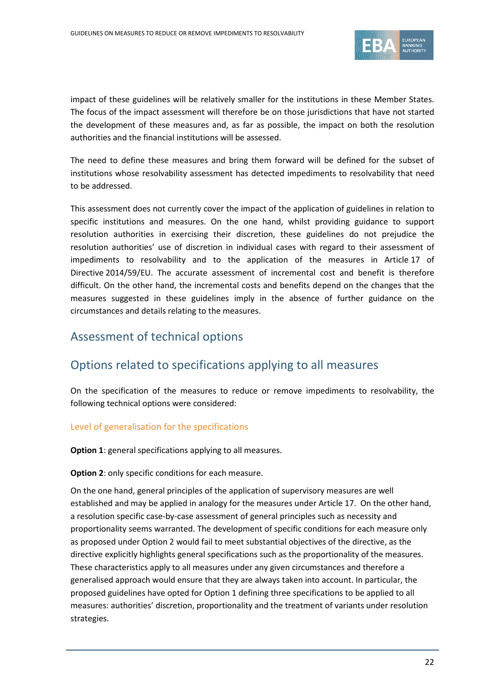

impact of these guidelines will be relatively smaller for the institutions in these Member States. The focus of the impact assessment will therefore be on those jurisdictions that have not started the development of these measures and, as far as possible, the impact on both the resolution authorities and the financial institutions will be assessed.

The need to define these measures and bring them forward will be defined for the subset of institutions whose resolvability assessment has detected impediments to resolvability that need to be addressed.

This assessment does not currently cover the impact of the application of guidelines in relation to specific institutions and measures. On the one hand, whilst providing guidance to support resolution authorities in exercising their discretion, these guidelines do not prejudice the resolution authorities' use of discretion in individual cases with regard to their assessment of impediments to resolvability and to the application of the measures in Article 17 of Directive 2014/59/EU. The accurate assessment of incremental cost and benefit is therefore difficult. On the other hand, the incremental costs and benefits depend on the changes that the measures suggested in these guidelines imply in the absence of further guidance on the circumstances and details relating to the measures.

## Assessment of technical options

## Options related to specifications applying to all measures

On the specification of the measures to reduce or remove impediments to resolvability, the following technical options were considered:

### Level of generalisation for the specifications

**Option 1**: general specifications applying to all measures.

#### **Option 2**: only specific conditions for each measure.

On the one hand, general principles of the application of supervisory measures are well established and may be applied in analogy for the measures under Article 17. On the other hand, a resolution specific case-by-case assessment of general principles such as necessity and proportionality seems warranted. The development of specific conditions for each measure only as proposed under Option 2 would fail to meet substantial objectives of the directive, as the directive explicitly highlights general specifications such as the proportionality of the measures. These characteristics apply to all measures under any given circumstances and therefore a generalised approach would ensure that they are always taken into account. In particular, the proposed guidelines have opted for Option 1 defining three specifications to be applied to all measures: authorities' discretion, proportionality and the treatment of variants under resolution strategies.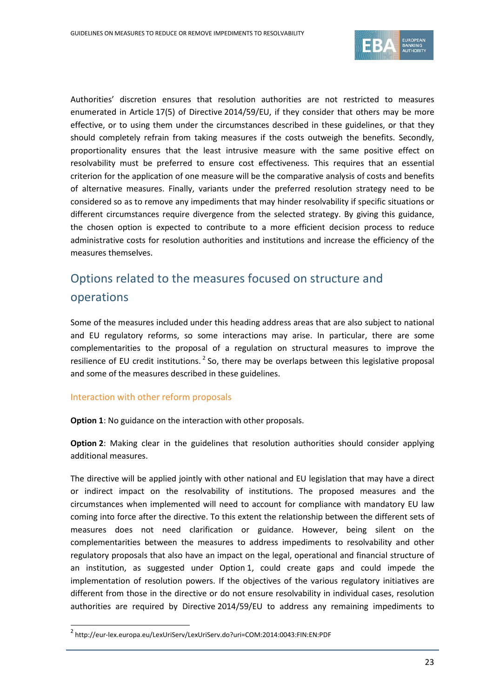

Authorities' discretion ensures that resolution authorities are not restricted to measures enumerated in Article 17(5) of Directive 2014/59/EU, if they consider that others may be more effective, or to using them under the circumstances described in these guidelines, or that they should completely refrain from taking measures if the costs outweigh the benefits. Secondly, proportionality ensures that the least intrusive measure with the same positive effect on resolvability must be preferred to ensure cost effectiveness. This requires that an essential criterion for the application of one measure will be the comparative analysis of costs and benefits of alternative measures. Finally, variants under the preferred resolution strategy need to be considered so as to remove any impediments that may hinder resolvability if specific situations or different circumstances require divergence from the selected strategy. By giving this guidance, the chosen option is expected to contribute to a more efficient decision process to reduce administrative costs for resolution authorities and institutions and increase the efficiency of the measures themselves.

## Options related to the measures focused on structure and operations

Some of the measures included under this heading address areas that are also subject to national and EU regulatory reforms, so some interactions may arise. In particular, there are some complementarities to the proposal of a regulation on structural measures to improve the resilience of EU credit institutions.<sup>[2](#page-22-0)</sup> So, there may be overlaps between this legislative proposal and some of the measures described in these guidelines.

#### Interaction with other reform proposals

 $\overline{a}$ 

**Option 1**: No guidance on the interaction with other proposals.

**Option 2**: Making clear in the guidelines that resolution authorities should consider applying additional measures.

The directive will be applied jointly with other national and EU legislation that may have a direct or indirect impact on the resolvability of institutions. The proposed measures and the circumstances when implemented will need to account for compliance with mandatory EU law coming into force after the directive. To this extent the relationship between the different sets of measures does not need clarification or guidance. However, being silent on the complementarities between the measures to address impediments to resolvability and other regulatory proposals that also have an impact on the legal, operational and financial structure of an institution, as suggested under Option 1, could create gaps and could impede the implementation of resolution powers. If the objectives of the various regulatory initiatives are different from those in the directive or do not ensure resolvability in individual cases, resolution authorities are required by Directive 2014/59/EU to address any remaining impediments to

<span id="page-22-0"></span><sup>2</sup> http://eur-lex.europa.eu/LexUriServ/LexUriServ.do?uri=COM:2014:0043:FIN:EN:PDF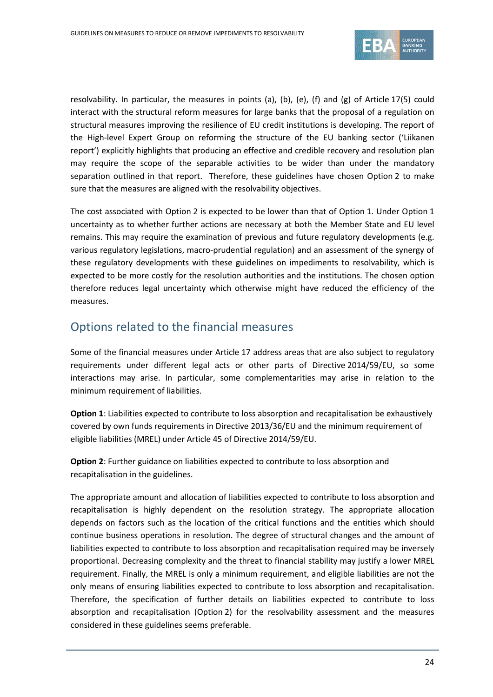

resolvability. In particular, the measures in points (a), (b), (e), (f) and (g) of Article 17(5) could interact with the structural reform measures for large banks that the proposal of a regulation on structural measures improving the resilience of EU credit institutions is developing. The report of the High-level Expert Group on reforming the structure of the EU banking sector ('Liikanen report') explicitly highlights that producing an effective and credible recovery and resolution plan may require the scope of the separable activities to be wider than under the mandatory separation outlined in that report. Therefore, these guidelines have chosen Option 2 to make sure that the measures are aligned with the resolvability objectives.

The cost associated with Option 2 is expected to be lower than that of Option 1. Under Option 1 uncertainty as to whether further actions are necessary at both the Member State and EU level remains. This may require the examination of previous and future regulatory developments (e.g. various regulatory legislations, macro-prudential regulation) and an assessment of the synergy of these regulatory developments with these guidelines on impediments to resolvability, which is expected to be more costly for the resolution authorities and the institutions. The chosen option therefore reduces legal uncertainty which otherwise might have reduced the efficiency of the measures.

## Options related to the financial measures

Some of the financial measures under Article 17 address areas that are also subject to regulatory requirements under different legal acts or other parts of Directive 2014/59/EU, so some interactions may arise. In particular, some complementarities may arise in relation to the minimum requirement of liabilities.

**Option 1**: Liabilities expected to contribute to loss absorption and recapitalisation be exhaustively covered by own funds requirements in Directive 2013/36/EU and the minimum requirement of eligible liabilities (MREL) under Article 45 of Directive 2014/59/EU.

**Option 2**: Further guidance on liabilities expected to contribute to loss absorption and recapitalisation in the guidelines.

The appropriate amount and allocation of liabilities expected to contribute to loss absorption and recapitalisation is highly dependent on the resolution strategy. The appropriate allocation depends on factors such as the location of the critical functions and the entities which should continue business operations in resolution. The degree of structural changes and the amount of liabilities expected to contribute to loss absorption and recapitalisation required may be inversely proportional. Decreasing complexity and the threat to financial stability may justify a lower MREL requirement. Finally, the MREL is only a minimum requirement, and eligible liabilities are not the only means of ensuring liabilities expected to contribute to loss absorption and recapitalisation. Therefore, the specification of further details on liabilities expected to contribute to loss absorption and recapitalisation (Option 2) for the resolvability assessment and the measures considered in these guidelines seems preferable.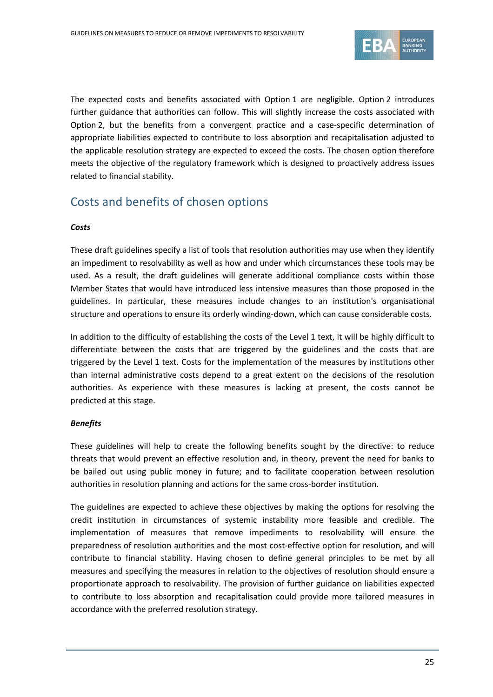

The expected costs and benefits associated with Option 1 are negligible. Option 2 introduces further guidance that authorities can follow. This will slightly increase the costs associated with Option 2, but the benefits from a convergent practice and a case-specific determination of appropriate liabilities expected to contribute to loss absorption and recapitalisation adjusted to the applicable resolution strategy are expected to exceed the costs. The chosen option therefore meets the objective of the regulatory framework which is designed to proactively address issues related to financial stability.

## Costs and benefits of chosen options

#### *Costs*

These draft guidelines specify a list of tools that resolution authorities may use when they identify an impediment to resolvability as well as how and under which circumstances these tools may be used. As a result, the draft guidelines will generate additional compliance costs within those Member States that would have introduced less intensive measures than those proposed in the guidelines. In particular, these measures include changes to an institution's organisational structure and operations to ensure its orderly winding-down, which can cause considerable costs.

In addition to the difficulty of establishing the costs of the Level 1 text, it will be highly difficult to differentiate between the costs that are triggered by the guidelines and the costs that are triggered by the Level 1 text. Costs for the implementation of the measures by institutions other than internal administrative costs depend to a great extent on the decisions of the resolution authorities. As experience with these measures is lacking at present, the costs cannot be predicted at this stage.

#### *Benefits*

These guidelines will help to create the following benefits sought by the directive: to reduce threats that would prevent an effective resolution and, in theory, prevent the need for banks to be bailed out using public money in future; and to facilitate cooperation between resolution authorities in resolution planning and actions for the same cross-border institution.

The guidelines are expected to achieve these objectives by making the options for resolving the credit institution in circumstances of systemic instability more feasible and credible. The implementation of measures that remove impediments to resolvability will ensure the preparedness of resolution authorities and the most cost-effective option for resolution, and will contribute to financial stability. Having chosen to define general principles to be met by all measures and specifying the measures in relation to the objectives of resolution should ensure a proportionate approach to resolvability. The provision of further guidance on liabilities expected to contribute to loss absorption and recapitalisation could provide more tailored measures in accordance with the preferred resolution strategy.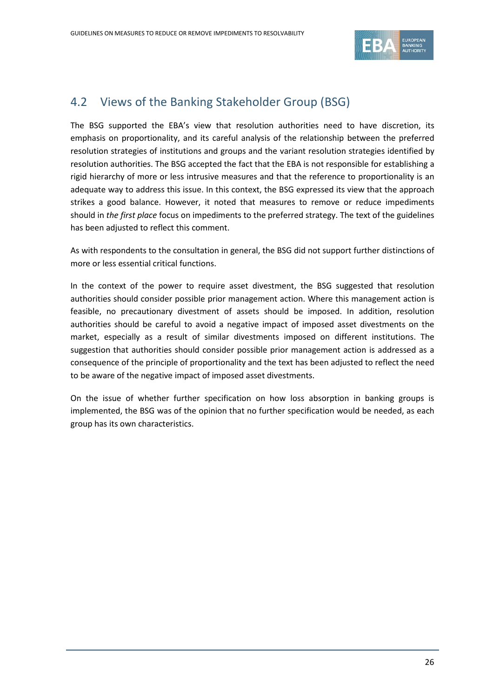

## <span id="page-25-0"></span>4.2 Views of the Banking Stakeholder Group (BSG)

The BSG supported the EBA's view that resolution authorities need to have discretion, its emphasis on proportionality, and its careful analysis of the relationship between the preferred resolution strategies of institutions and groups and the variant resolution strategies identified by resolution authorities. The BSG accepted the fact that the EBA is not responsible for establishing a rigid hierarchy of more or less intrusive measures and that the reference to proportionality is an adequate way to address this issue. In this context, the BSG expressed its view that the approach strikes a good balance. However, it noted that measures to remove or reduce impediments should in *the first place* focus on impediments to the preferred strategy. The text of the guidelines has been adjusted to reflect this comment.

As with respondents to the consultation in general, the BSG did not support further distinctions of more or less essential critical functions.

In the context of the power to require asset divestment, the BSG suggested that resolution authorities should consider possible prior management action. Where this management action is feasible, no precautionary divestment of assets should be imposed. In addition, resolution authorities should be careful to avoid a negative impact of imposed asset divestments on the market, especially as a result of similar divestments imposed on different institutions. The suggestion that authorities should consider possible prior management action is addressed as a consequence of the principle of proportionality and the text has been adjusted to reflect the need to be aware of the negative impact of imposed asset divestments.

On the issue of whether further specification on how loss absorption in banking groups is implemented, the BSG was of the opinion that no further specification would be needed, as each group has its own characteristics.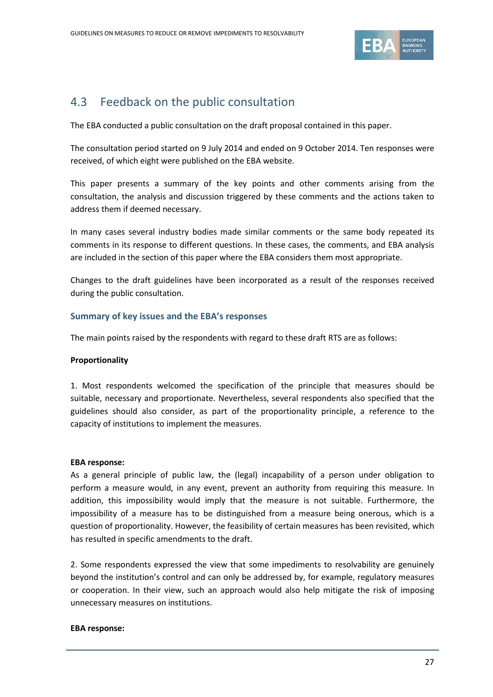

## <span id="page-26-0"></span>4.3 Feedback on the public consultation

The EBA conducted a public consultation on the draft proposal contained in this paper.

The consultation period started on 9 July 2014 and ended on 9 October 2014. Ten responses were received, of which eight were published on the EBA website.

This paper presents a summary of the key points and other comments arising from the consultation, the analysis and discussion triggered by these comments and the actions taken to address them if deemed necessary.

In many cases several industry bodies made similar comments or the same body repeated its comments in its response to different questions. In these cases, the comments, and EBA analysis are included in the section of this paper where the EBA considers them most appropriate.

Changes to the draft guidelines have been incorporated as a result of the responses received during the public consultation.

#### **Summary of key issues and the EBA's responses**

The main points raised by the respondents with regard to these draft RTS are as follows:

#### **Proportionality**

1. Most respondents welcomed the specification of the principle that measures should be suitable, necessary and proportionate. Nevertheless, several respondents also specified that the guidelines should also consider, as part of the proportionality principle, a reference to the capacity of institutions to implement the measures.

#### **EBA response:**

As a general principle of public law, the (legal) incapability of a person under obligation to perform a measure would, in any event, prevent an authority from requiring this measure. In addition, this impossibility would imply that the measure is not suitable. Furthermore, the impossibility of a measure has to be distinguished from a measure being onerous, which is a question of proportionality. However, the feasibility of certain measures has been revisited, which has resulted in specific amendments to the draft.

2. Some respondents expressed the view that some impediments to resolvability are genuinely beyond the institution's control and can only be addressed by, for example, regulatory measures or cooperation. In their view, such an approach would also help mitigate the risk of imposing unnecessary measures on institutions.

#### **EBA response:**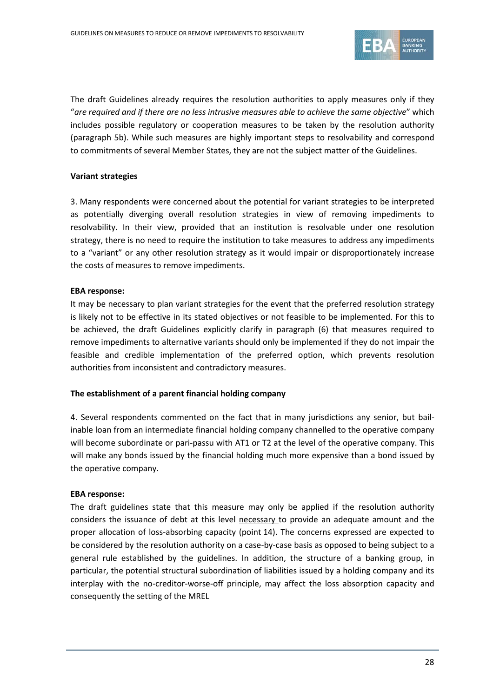

The draft Guidelines already requires the resolution authorities to apply measures only if they "*are required and if there are no less intrusive measures able to achieve the same objective*" which includes possible regulatory or cooperation measures to be taken by the resolution authority (paragraph 5b). While such measures are highly important steps to resolvability and correspond to commitments of several Member States, they are not the subject matter of the Guidelines.

#### **Variant strategies**

3. Many respondents were concerned about the potential for variant strategies to be interpreted as potentially diverging overall resolution strategies in view of removing impediments to resolvability. In their view, provided that an institution is resolvable under one resolution strategy, there is no need to require the institution to take measures to address any impediments to a "variant" or any other resolution strategy as it would impair or disproportionately increase the costs of measures to remove impediments.

#### **EBA response:**

It may be necessary to plan variant strategies for the event that the preferred resolution strategy is likely not to be effective in its stated objectives or not feasible to be implemented. For this to be achieved, the draft Guidelines explicitly clarify in paragraph (6) that measures required to remove impediments to alternative variants should only be implemented if they do not impair the feasible and credible implementation of the preferred option, which prevents resolution authorities from inconsistent and contradictory measures.

#### **The establishment of a parent financial holding company**

4. Several respondents commented on the fact that in many jurisdictions any senior, but bailinable loan from an intermediate financial holding company channelled to the operative company will become subordinate or pari-passu with AT1 or T2 at the level of the operative company. This will make any bonds issued by the financial holding much more expensive than a bond issued by the operative company.

#### **EBA response:**

The draft guidelines state that this measure may only be applied if the resolution authority considers the issuance of debt at this level necessary to provide an adequate amount and the proper allocation of loss-absorbing capacity (point 14). The concerns expressed are expected to be considered by the resolution authority on a case-by-case basis as opposed to being subject to a general rule established by the guidelines. In addition, the structure of a banking group, in particular, the potential structural subordination of liabilities issued by a holding company and its interplay with the no-creditor-worse-off principle, may affect the loss absorption capacity and consequently the setting of the MREL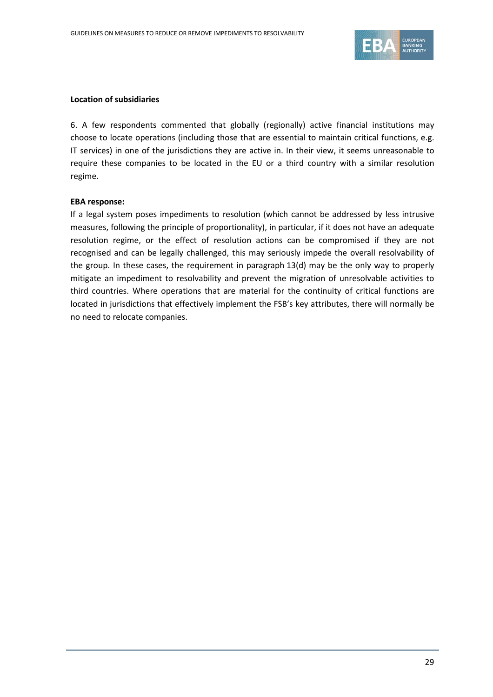

#### **Location of subsidiaries**

6. A few respondents commented that globally (regionally) active financial institutions may choose to locate operations (including those that are essential to maintain critical functions, e.g. IT services) in one of the jurisdictions they are active in. In their view, it seems unreasonable to require these companies to be located in the EU or a third country with a similar resolution regime.

#### **EBA response:**

If a legal system poses impediments to resolution (which cannot be addressed by less intrusive measures, following the principle of proportionality), in particular, if it does not have an adequate resolution regime, or the effect of resolution actions can be compromised if they are not recognised and can be legally challenged, this may seriously impede the overall resolvability of the group. In these cases, the requirement in paragraph 13(d) may be the only way to properly mitigate an impediment to resolvability and prevent the migration of unresolvable activities to third countries. Where operations that are material for the continuity of critical functions are located in jurisdictions that effectively implement the FSB's key attributes, there will normally be no need to relocate companies.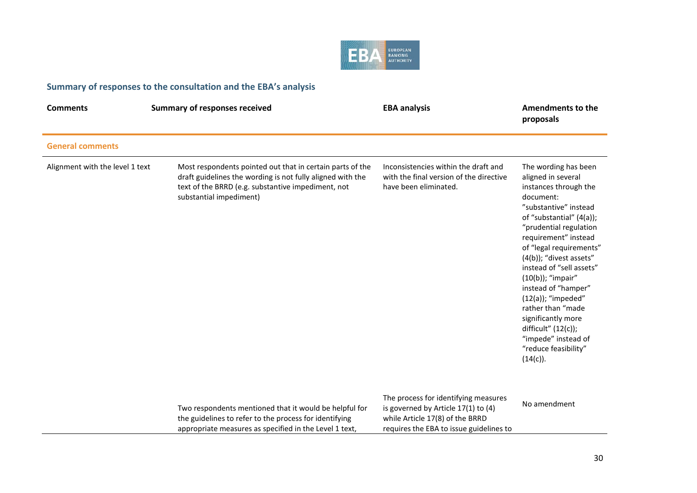

## **Summary of responses to the consultation and the EBA's analysis**

| <b>Comments</b>                 | <b>Summary of responses received</b>                                                                                                                                                                     | <b>EBA analysis</b>                                                                                                                                       | <b>Amendments to the</b><br>proposals                                                                                                                                                                                                                                                                                                                                                                                                                                          |
|---------------------------------|----------------------------------------------------------------------------------------------------------------------------------------------------------------------------------------------------------|-----------------------------------------------------------------------------------------------------------------------------------------------------------|--------------------------------------------------------------------------------------------------------------------------------------------------------------------------------------------------------------------------------------------------------------------------------------------------------------------------------------------------------------------------------------------------------------------------------------------------------------------------------|
| <b>General comments</b>         |                                                                                                                                                                                                          |                                                                                                                                                           |                                                                                                                                                                                                                                                                                                                                                                                                                                                                                |
| Alignment with the level 1 text | Most respondents pointed out that in certain parts of the<br>draft guidelines the wording is not fully aligned with the<br>text of the BRRD (e.g. substantive impediment, not<br>substantial impediment) | Inconsistencies within the draft and<br>with the final version of the directive<br>have been eliminated.                                                  | The wording has been<br>aligned in several<br>instances through the<br>document:<br>"substantive" instead<br>of "substantial" (4(a));<br>"prudential regulation<br>requirement" instead<br>of "legal requirements"<br>(4(b)); "divest assets"<br>instead of "sell assets"<br>(10(b)); "impair"<br>instead of "hamper"<br>$(12(a))$ ; "impeded"<br>rather than "made<br>significantly more<br>difficult" $(12(c))$ ;<br>"impede" instead of<br>"reduce feasibility"<br>(14(c)). |
|                                 | Two respondents mentioned that it would be helpful for<br>the guidelines to refer to the process for identifying<br>appropriate measures as specified in the Level 1 text,                               | The process for identifying measures<br>is governed by Article 17(1) to (4)<br>while Article 17(8) of the BRRD<br>requires the EBA to issue guidelines to | No amendment                                                                                                                                                                                                                                                                                                                                                                                                                                                                   |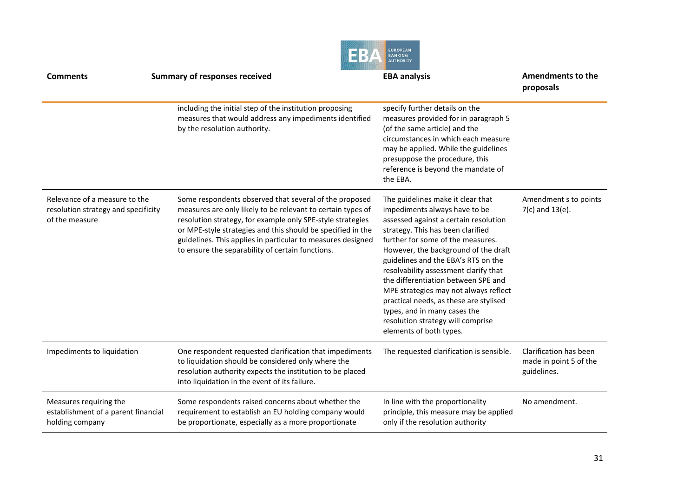|                                                                                        |                                                                                                                                                                                                                                                                                                                                                                       | <b>EUROPEAN</b><br><b>BANKING</b><br><b>AUTHORITY</b>                                                                                                                                                                                                                                                                                                                                                                                                                                                                                   |                                                                 |
|----------------------------------------------------------------------------------------|-----------------------------------------------------------------------------------------------------------------------------------------------------------------------------------------------------------------------------------------------------------------------------------------------------------------------------------------------------------------------|-----------------------------------------------------------------------------------------------------------------------------------------------------------------------------------------------------------------------------------------------------------------------------------------------------------------------------------------------------------------------------------------------------------------------------------------------------------------------------------------------------------------------------------------|-----------------------------------------------------------------|
| <b>Comments</b>                                                                        | <b>Summary of responses received</b>                                                                                                                                                                                                                                                                                                                                  | <b>EBA analysis</b>                                                                                                                                                                                                                                                                                                                                                                                                                                                                                                                     | Amendments to the<br>proposals                                  |
|                                                                                        | including the initial step of the institution proposing<br>measures that would address any impediments identified<br>by the resolution authority.                                                                                                                                                                                                                     | specify further details on the<br>measures provided for in paragraph 5<br>(of the same article) and the<br>circumstances in which each measure<br>may be applied. While the guidelines<br>presuppose the procedure, this<br>reference is beyond the mandate of<br>the EBA.                                                                                                                                                                                                                                                              |                                                                 |
| Relevance of a measure to the<br>resolution strategy and specificity<br>of the measure | Some respondents observed that several of the proposed<br>measures are only likely to be relevant to certain types of<br>resolution strategy, for example only SPE-style strategies<br>or MPE-style strategies and this should be specified in the<br>guidelines. This applies in particular to measures designed<br>to ensure the separability of certain functions. | The guidelines make it clear that<br>impediments always have to be<br>assessed against a certain resolution<br>strategy. This has been clarified<br>further for some of the measures.<br>However, the background of the draft<br>guidelines and the EBA's RTS on the<br>resolvability assessment clarify that<br>the differentiation between SPE and<br>MPE strategies may not always reflect<br>practical needs, as these are stylised<br>types, and in many cases the<br>resolution strategy will comprise<br>elements of both types. | Amendment s to points<br>$7(c)$ and $13(e)$ .                   |
| Impediments to liquidation                                                             | One respondent requested clarification that impediments<br>to liquidation should be considered only where the<br>resolution authority expects the institution to be placed<br>into liquidation in the event of its failure.                                                                                                                                           | The requested clarification is sensible.                                                                                                                                                                                                                                                                                                                                                                                                                                                                                                | Clarification has been<br>made in point 5 of the<br>guidelines. |
| Measures requiring the<br>establishment of a parent financial<br>holding company       | Some respondents raised concerns about whether the<br>requirement to establish an EU holding company would<br>be proportionate, especially as a more proportionate                                                                                                                                                                                                    | In line with the proportionality<br>principle, this measure may be applied<br>only if the resolution authority                                                                                                                                                                                                                                                                                                                                                                                                                          | No amendment.                                                   |

**AMAN IIII E** IIII E III ANN AN D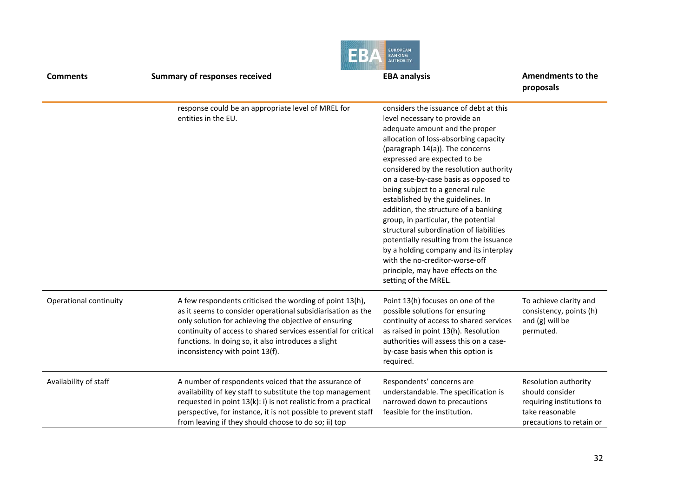|                        |                                                                                                                                                                                                                                                                                                                                              | <b>EUROPEAN</b><br><b>BANKING</b><br><b>AUTHORITY</b>                                                                                                                                                                                                                                                                                                                                                                                                                                                                                                                                                                                                                                           |                                                                                                                     |  |
|------------------------|----------------------------------------------------------------------------------------------------------------------------------------------------------------------------------------------------------------------------------------------------------------------------------------------------------------------------------------------|-------------------------------------------------------------------------------------------------------------------------------------------------------------------------------------------------------------------------------------------------------------------------------------------------------------------------------------------------------------------------------------------------------------------------------------------------------------------------------------------------------------------------------------------------------------------------------------------------------------------------------------------------------------------------------------------------|---------------------------------------------------------------------------------------------------------------------|--|
| <b>Comments</b>        | <b>Summary of responses received</b>                                                                                                                                                                                                                                                                                                         | <b>EBA analysis</b>                                                                                                                                                                                                                                                                                                                                                                                                                                                                                                                                                                                                                                                                             | Amendments to the<br>proposals                                                                                      |  |
|                        | response could be an appropriate level of MREL for<br>entities in the EU.                                                                                                                                                                                                                                                                    | considers the issuance of debt at this<br>level necessary to provide an<br>adequate amount and the proper<br>allocation of loss-absorbing capacity<br>(paragraph 14(a)). The concerns<br>expressed are expected to be<br>considered by the resolution authority<br>on a case-by-case basis as opposed to<br>being subject to a general rule<br>established by the guidelines. In<br>addition, the structure of a banking<br>group, in particular, the potential<br>structural subordination of liabilities<br>potentially resulting from the issuance<br>by a holding company and its interplay<br>with the no-creditor-worse-off<br>principle, may have effects on the<br>setting of the MREL. |                                                                                                                     |  |
| Operational continuity | A few respondents criticised the wording of point 13(h),<br>as it seems to consider operational subsidiarisation as the<br>only solution for achieving the objective of ensuring<br>continuity of access to shared services essential for critical<br>functions. In doing so, it also introduces a slight<br>inconsistency with point 13(f). | Point 13(h) focuses on one of the<br>possible solutions for ensuring<br>continuity of access to shared services<br>as raised in point 13(h). Resolution<br>authorities will assess this on a case-<br>by-case basis when this option is<br>required.                                                                                                                                                                                                                                                                                                                                                                                                                                            | To achieve clarity and<br>consistency, points (h)<br>and (g) will be<br>permuted.                                   |  |
| Availability of staff  | A number of respondents voiced that the assurance of<br>availability of key staff to substitute the top management<br>requested in point 13(k): i) is not realistic from a practical<br>perspective, for instance, it is not possible to prevent staff<br>from leaving if they should choose to do so; ii) top                               | Respondents' concerns are<br>understandable. The specification is<br>narrowed down to precautions<br>feasible for the institution.                                                                                                                                                                                                                                                                                                                                                                                                                                                                                                                                                              | Resolution authority<br>should consider<br>requiring institutions to<br>take reasonable<br>precautions to retain or |  |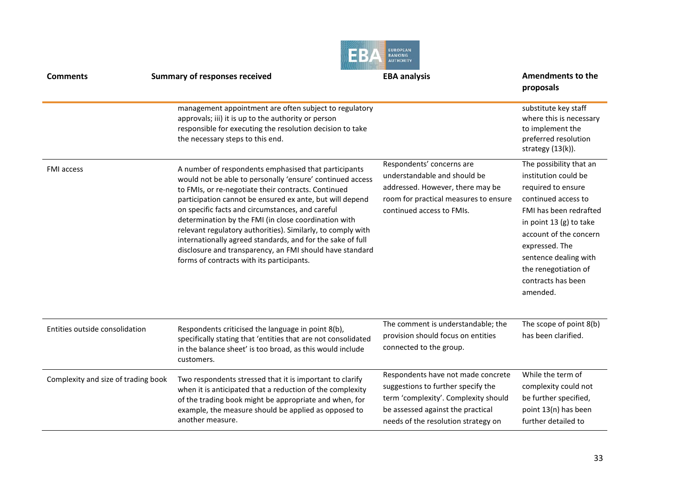|                                     |                                                                                                                                                                                                                                                                                                                                                                                                                                                                                                                                                                                        | <b>EUROPEAN</b><br>BANKING<br><b>AUTHORITY</b>                                                                                                                                               |                                                                                                                                                                                                                                                                                  |
|-------------------------------------|----------------------------------------------------------------------------------------------------------------------------------------------------------------------------------------------------------------------------------------------------------------------------------------------------------------------------------------------------------------------------------------------------------------------------------------------------------------------------------------------------------------------------------------------------------------------------------------|----------------------------------------------------------------------------------------------------------------------------------------------------------------------------------------------|----------------------------------------------------------------------------------------------------------------------------------------------------------------------------------------------------------------------------------------------------------------------------------|
| <b>Comments</b>                     | <b>Summary of responses received</b>                                                                                                                                                                                                                                                                                                                                                                                                                                                                                                                                                   | <b>EBA analysis</b>                                                                                                                                                                          | Amendments to the<br>proposals                                                                                                                                                                                                                                                   |
|                                     | management appointment are often subject to regulatory<br>approvals; iii) it is up to the authority or person<br>responsible for executing the resolution decision to take<br>the necessary steps to this end.                                                                                                                                                                                                                                                                                                                                                                         |                                                                                                                                                                                              | substitute key staff<br>where this is necessary<br>to implement the<br>preferred resolution<br>strategy $(13(k))$ .                                                                                                                                                              |
| <b>FMI</b> access                   | A number of respondents emphasised that participants<br>would not be able to personally 'ensure' continued access<br>to FMIs, or re-negotiate their contracts. Continued<br>participation cannot be ensured ex ante, but will depend<br>on specific facts and circumstances, and careful<br>determination by the FMI (in close coordination with<br>relevant regulatory authorities). Similarly, to comply with<br>internationally agreed standards, and for the sake of full<br>disclosure and transparency, an FMI should have standard<br>forms of contracts with its participants. | Respondents' concerns are<br>understandable and should be<br>addressed. However, there may be<br>room for practical measures to ensure<br>continued access to FMIs.                          | The possibility that an<br>institution could be<br>required to ensure<br>continued access to<br>FMI has been redrafted<br>in point 13 (g) to take<br>account of the concern<br>expressed. The<br>sentence dealing with<br>the renegotiation of<br>contracts has been<br>amended. |
| Entities outside consolidation      | Respondents criticised the language in point 8(b),<br>specifically stating that 'entities that are not consolidated<br>in the balance sheet' is too broad, as this would include<br>customers.                                                                                                                                                                                                                                                                                                                                                                                         | The comment is understandable; the<br>provision should focus on entities<br>connected to the group.                                                                                          | The scope of point 8(b)<br>has been clarified.                                                                                                                                                                                                                                   |
| Complexity and size of trading book | Two respondents stressed that it is important to clarify<br>when it is anticipated that a reduction of the complexity<br>of the trading book might be appropriate and when, for<br>example, the measure should be applied as opposed to<br>another measure.                                                                                                                                                                                                                                                                                                                            | Respondents have not made concrete<br>suggestions to further specify the<br>term 'complexity'. Complexity should<br>be assessed against the practical<br>needs of the resolution strategy on | While the term of<br>complexity could not<br>be further specified,<br>point 13(n) has been<br>further detailed to                                                                                                                                                                |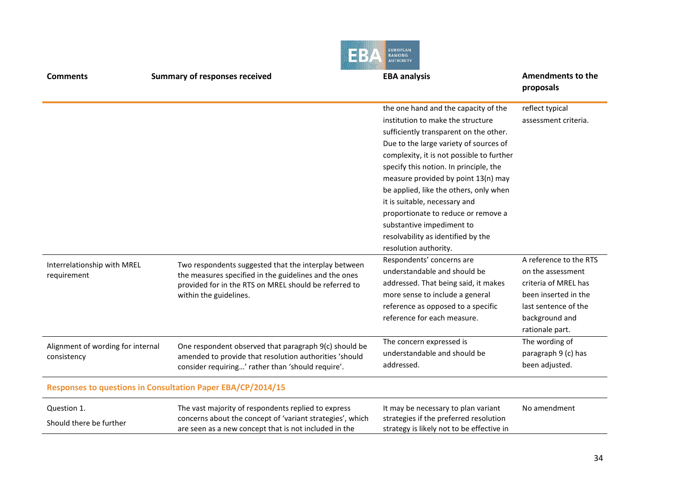|                                                  |                                                                                                                                                                                                  | <b>EUROPEAN</b><br>BANKING                                                                                                                                                                                                                                                                                                                                                                                                                                                                                |                                                                                                                                                          |
|--------------------------------------------------|--------------------------------------------------------------------------------------------------------------------------------------------------------------------------------------------------|-----------------------------------------------------------------------------------------------------------------------------------------------------------------------------------------------------------------------------------------------------------------------------------------------------------------------------------------------------------------------------------------------------------------------------------------------------------------------------------------------------------|----------------------------------------------------------------------------------------------------------------------------------------------------------|
| <b>Comments</b>                                  | <b>Summary of responses received</b>                                                                                                                                                             | <b>EBA analysis</b>                                                                                                                                                                                                                                                                                                                                                                                                                                                                                       | Amendments to the<br>proposals                                                                                                                           |
|                                                  |                                                                                                                                                                                                  | the one hand and the capacity of the<br>institution to make the structure<br>sufficiently transparent on the other.<br>Due to the large variety of sources of<br>complexity, it is not possible to further<br>specify this notion. In principle, the<br>measure provided by point 13(n) may<br>be applied, like the others, only when<br>it is suitable, necessary and<br>proportionate to reduce or remove a<br>substantive impediment to<br>resolvability as identified by the<br>resolution authority. | reflect typical<br>assessment criteria.                                                                                                                  |
| Interrelationship with MREL<br>requirement       | Two respondents suggested that the interplay between<br>the measures specified in the guidelines and the ones<br>provided for in the RTS on MREL should be referred to<br>within the guidelines. | Respondents' concerns are<br>understandable and should be<br>addressed. That being said, it makes<br>more sense to include a general<br>reference as opposed to a specific<br>reference for each measure.                                                                                                                                                                                                                                                                                                 | A reference to the RTS<br>on the assessment<br>criteria of MREL has<br>been inserted in the<br>last sentence of the<br>background and<br>rationale part. |
| Alignment of wording for internal<br>consistency | One respondent observed that paragraph 9(c) should be<br>amended to provide that resolution authorities 'should<br>consider requiring' rather than 'should require'.                             | The concern expressed is<br>understandable and should be<br>addressed.                                                                                                                                                                                                                                                                                                                                                                                                                                    | The wording of<br>paragraph 9 (c) has<br>been adjusted.                                                                                                  |
|                                                  | Responses to questions in Consultation Paper EBA/CP/2014/15                                                                                                                                      |                                                                                                                                                                                                                                                                                                                                                                                                                                                                                                           |                                                                                                                                                          |
| Question 1.<br>Should there be further           | The vast majority of respondents replied to express<br>concerns about the concept of 'variant strategies', which<br>are seen as a new concept that is not included in the                        | It may be necessary to plan variant<br>strategies if the preferred resolution<br>strategy is likely not to be effective in                                                                                                                                                                                                                                                                                                                                                                                | No amendment                                                                                                                                             |

アントナス

 $\alpha$  , and the set of  $\alpha$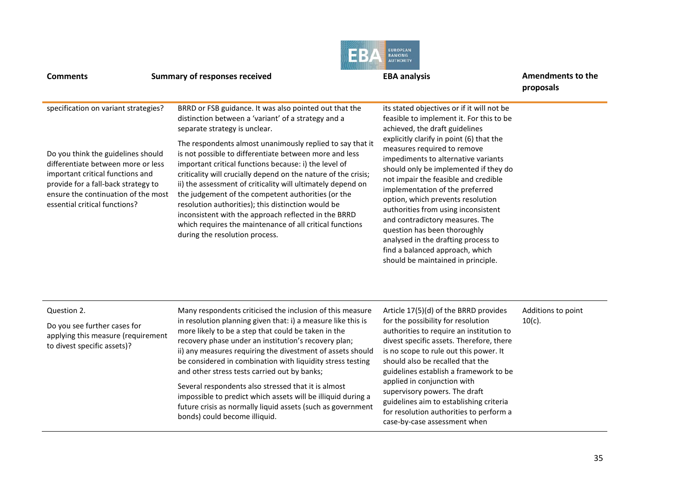| <b>Comments</b>                                                                                                                                                                                                                                                     | <b>Summary of responses received</b>                                                                                                                                                                                                                                                                                                                                                                                                                                                                                                                                                                                                                                                                                              | <b>EUROPEAN</b><br><b>BANKING</b><br><b>EBA analysis</b>                                                                                                                                                                                                                                                                                                                                                                                                                                                                                                                                                                      | Amendments to the<br>proposals  |
|---------------------------------------------------------------------------------------------------------------------------------------------------------------------------------------------------------------------------------------------------------------------|-----------------------------------------------------------------------------------------------------------------------------------------------------------------------------------------------------------------------------------------------------------------------------------------------------------------------------------------------------------------------------------------------------------------------------------------------------------------------------------------------------------------------------------------------------------------------------------------------------------------------------------------------------------------------------------------------------------------------------------|-------------------------------------------------------------------------------------------------------------------------------------------------------------------------------------------------------------------------------------------------------------------------------------------------------------------------------------------------------------------------------------------------------------------------------------------------------------------------------------------------------------------------------------------------------------------------------------------------------------------------------|---------------------------------|
| specification on variant strategies?<br>Do you think the guidelines should<br>differentiate between more or less<br>important critical functions and<br>provide for a fall-back strategy to<br>ensure the continuation of the most<br>essential critical functions? | BRRD or FSB guidance. It was also pointed out that the<br>distinction between a 'variant' of a strategy and a<br>separate strategy is unclear.<br>The respondents almost unanimously replied to say that it<br>is not possible to differentiate between more and less<br>important critical functions because: i) the level of<br>criticality will crucially depend on the nature of the crisis;<br>ii) the assessment of criticality will ultimately depend on<br>the judgement of the competent authorities (or the<br>resolution authorities); this distinction would be<br>inconsistent with the approach reflected in the BRRD<br>which requires the maintenance of all critical functions<br>during the resolution process. | its stated objectives or if it will not be<br>feasible to implement it. For this to be<br>achieved, the draft guidelines<br>explicitly clarify in point (6) that the<br>measures required to remove<br>impediments to alternative variants<br>should only be implemented if they do<br>not impair the feasible and credible<br>implementation of the preferred<br>option, which prevents resolution<br>authorities from using inconsistent<br>and contradictory measures. The<br>question has been thoroughly<br>analysed in the drafting process to<br>find a balanced approach, which<br>should be maintained in principle. |                                 |
| Question 2.<br>Do you see further cases for<br>applying this measure (requirement<br>to divest specific assets)?                                                                                                                                                    | Many respondents criticised the inclusion of this measure<br>in resolution planning given that: i) a measure like this is<br>more likely to be a step that could be taken in the<br>recovery phase under an institution's recovery plan;<br>ii) any measures requiring the divestment of assets should<br>be considered in combination with liquidity stress testing<br>and other stress tests carried out by banks;<br>Several respondents also stressed that it is almost<br>impossible to predict which assets will be illiquid during a<br>future crisis as normally liquid assets (such as government<br>bonds) could become illiquid.                                                                                       | Article 17(5)(d) of the BRRD provides<br>for the possibility for resolution<br>authorities to require an institution to<br>divest specific assets. Therefore, there<br>is no scope to rule out this power. It<br>should also be recalled that the<br>guidelines establish a framework to be<br>applied in conjunction with<br>supervisory powers. The draft<br>guidelines aim to establishing criteria<br>for resolution authorities to perform a<br>case-by-case assessment when                                                                                                                                             | Additions to point<br>$10(c)$ . |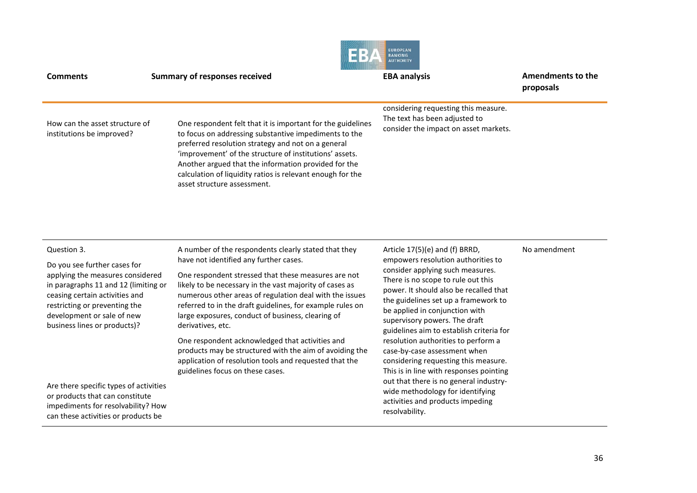| <b>Comments</b>                                             | <b>Summary of responses received</b>                                                                                                                                                                                                                                                                                                                                                       | <b>CUNUFEAN</b><br><b>BANKING</b><br><b>AUTHORITY</b><br><b>EBA analysis</b>                                   | Amendments to the<br>proposals |
|-------------------------------------------------------------|--------------------------------------------------------------------------------------------------------------------------------------------------------------------------------------------------------------------------------------------------------------------------------------------------------------------------------------------------------------------------------------------|----------------------------------------------------------------------------------------------------------------|--------------------------------|
| How can the asset structure of<br>institutions be improved? | One respondent felt that it is important for the guidelines<br>to focus on addressing substantive impediments to the<br>preferred resolution strategy and not on a general<br>'improvement' of the structure of institutions' assets.<br>Another argued that the information provided for the<br>calculation of liquidity ratios is relevant enough for the<br>asset structure assessment. | considering requesting this measure.<br>The text has been adjusted to<br>consider the impact on asset markets. |                                |

#### Question 3.

Do you see further cases for applying the measures considered in paragraphs 11 and 12 (limiting or ceasing certain activities and restricting or preventing the development or sale of new business lines or products)?

Are there specific types of activities or products that can constitute impediments for resolvability? How can these activities or products be

A number of the respondents clearly stated that they have not identified any further cases.

One respondent stressed that these measures are not likely to be necessary in the vast majority of cases as numerous other areas of regulation deal with the issues referred to in the draft guidelines, for example rules on large exposures, conduct of business, clearing of derivatives, etc.

One respondent acknowledged that activities and products may be structured with the aim of avoiding the application of resolution tools and requested that the guidelines focus on these cases.

Article 17(5)(e) and (f) BRRD, empowers resolution authorities to consider applying such measures. There is no scope to rule out this power. It should also be recalled that the guidelines set up a framework to be applied in conjunction with supervisory powers. The draft guidelines aim to establish criteria for resolution authorities to perform a case-by-case assessment when considering requesting this measure. This is in line with responses pointing out that there is no general industrywide methodology for identifying activities and products impeding resolvability.

#### No amendment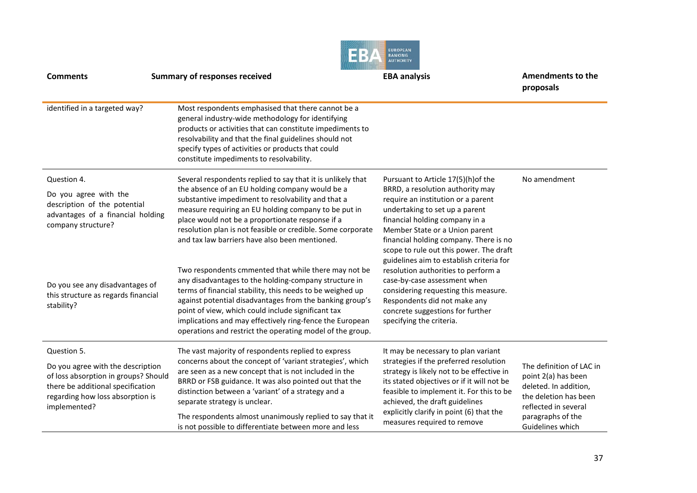|                                                                                                                                                                    | 8                                                                                                                                                                                                                                                                                                                                                                                                                     | <b>EUROPEAN</b><br><b>BANKING</b><br><b>AUTHORITY</b>                                                                                                                                                                                                                                                         |                                                                                                                           |
|--------------------------------------------------------------------------------------------------------------------------------------------------------------------|-----------------------------------------------------------------------------------------------------------------------------------------------------------------------------------------------------------------------------------------------------------------------------------------------------------------------------------------------------------------------------------------------------------------------|---------------------------------------------------------------------------------------------------------------------------------------------------------------------------------------------------------------------------------------------------------------------------------------------------------------|---------------------------------------------------------------------------------------------------------------------------|
| <b>Comments</b>                                                                                                                                                    | <b>Summary of responses received</b>                                                                                                                                                                                                                                                                                                                                                                                  | <b>EBA analysis</b>                                                                                                                                                                                                                                                                                           | <b>Amendments to the</b><br>proposals                                                                                     |
| identified in a targeted way?                                                                                                                                      | Most respondents emphasised that there cannot be a<br>general industry-wide methodology for identifying<br>products or activities that can constitute impediments to<br>resolvability and that the final guidelines should not<br>specify types of activities or products that could<br>constitute impediments to resolvability.                                                                                      |                                                                                                                                                                                                                                                                                                               |                                                                                                                           |
| Question 4.                                                                                                                                                        | Several respondents replied to say that it is unlikely that                                                                                                                                                                                                                                                                                                                                                           | Pursuant to Article 17(5)(h) of the                                                                                                                                                                                                                                                                           | No amendment                                                                                                              |
| Do you agree with the<br>description of the potential<br>advantages of a financial holding<br>company structure?                                                   | the absence of an EU holding company would be a<br>substantive impediment to resolvability and that a<br>measure requiring an EU holding company to be put in<br>place would not be a proportionate response if a<br>resolution plan is not feasible or credible. Some corporate<br>and tax law barriers have also been mentioned.                                                                                    | BRRD, a resolution authority may<br>require an institution or a parent<br>undertaking to set up a parent<br>financial holding company in a<br>Member State or a Union parent<br>financial holding company. There is no<br>scope to rule out this power. The draft<br>guidelines aim to establish criteria for |                                                                                                                           |
| Do you see any disadvantages of<br>this structure as regards financial<br>stability?                                                                               | Two respondents cmmented that while there may not be<br>any disadvantages to the holding-company structure in<br>terms of financial stability, this needs to be weighed up<br>against potential disadvantages from the banking group's<br>point of view, which could include significant tax<br>implications and may effectively ring-fence the European<br>operations and restrict the operating model of the group. | resolution authorities to perform a<br>case-by-case assessment when<br>considering requesting this measure.<br>Respondents did not make any<br>concrete suggestions for further<br>specifying the criteria.                                                                                                   |                                                                                                                           |
| Question 5.                                                                                                                                                        | The vast majority of respondents replied to express                                                                                                                                                                                                                                                                                                                                                                   | It may be necessary to plan variant                                                                                                                                                                                                                                                                           |                                                                                                                           |
| Do you agree with the description<br>of loss absorption in groups? Should<br>there be additional specification<br>regarding how loss absorption is<br>implemented? | concerns about the concept of 'variant strategies', which<br>are seen as a new concept that is not included in the<br>BRRD or FSB guidance. It was also pointed out that the<br>distinction between a 'variant' of a strategy and a<br>separate strategy is unclear.                                                                                                                                                  | strategies if the preferred resolution<br>strategy is likely not to be effective in<br>its stated objectives or if it will not be<br>feasible to implement it. For this to be<br>achieved, the draft guidelines                                                                                               | The definition of LAC in<br>point 2(a) has been<br>deleted. In addition,<br>the deletion has been<br>reflected in several |
|                                                                                                                                                                    | The respondents almost unanimously replied to say that it<br>is not possible to differentiate between more and less                                                                                                                                                                                                                                                                                                   | explicitly clarify in point (6) that the<br>measures required to remove                                                                                                                                                                                                                                       | paragraphs of the<br>Guidelines which                                                                                     |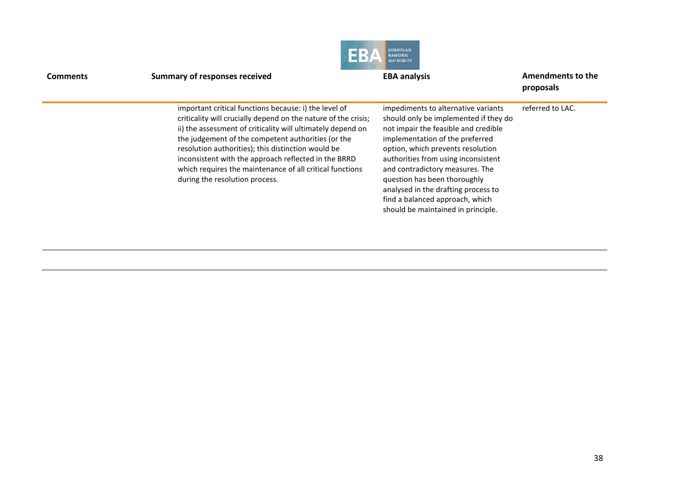| <b>Comments</b> | <b>Summary of responses received</b>                                                                                                                                                                                                                                                                                                                                                                                                                     | <b>EUROPEAN</b><br><b>BANKING</b><br><b>AUTHORITY</b><br><b>EBA analysis</b>                                                                                                                                                                                                                                                                                                                                           | Amendments to the<br>proposals |
|-----------------|----------------------------------------------------------------------------------------------------------------------------------------------------------------------------------------------------------------------------------------------------------------------------------------------------------------------------------------------------------------------------------------------------------------------------------------------------------|------------------------------------------------------------------------------------------------------------------------------------------------------------------------------------------------------------------------------------------------------------------------------------------------------------------------------------------------------------------------------------------------------------------------|--------------------------------|
|                 | important critical functions because: i) the level of<br>criticality will crucially depend on the nature of the crisis;<br>ii) the assessment of criticality will ultimately depend on<br>the judgement of the competent authorities (or the<br>resolution authorities); this distinction would be<br>inconsistent with the approach reflected in the BRRD<br>which requires the maintenance of all critical functions<br>during the resolution process. | impediments to alternative variants<br>should only be implemented if they do<br>not impair the feasible and credible<br>implementation of the preferred<br>option, which prevents resolution<br>authorities from using inconsistent<br>and contradictory measures. The<br>question has been thoroughly<br>analysed in the drafting process to<br>find a balanced approach, which<br>should be maintained in principle. | referred to LAC.               |

 $\frac{1}{2}$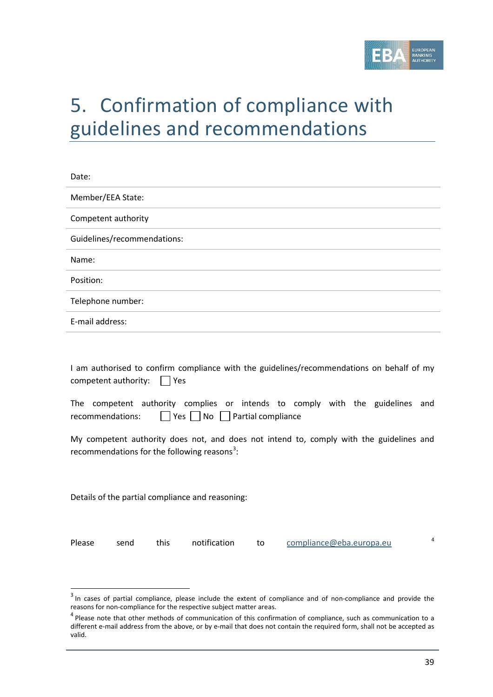

# 5. Confirmation of compliance with guidelines and recommendations

| Date:                       |  |  |  |  |  |  |
|-----------------------------|--|--|--|--|--|--|
| Member/EEA State:           |  |  |  |  |  |  |
| Competent authority         |  |  |  |  |  |  |
| Guidelines/recommendations: |  |  |  |  |  |  |
| Name:                       |  |  |  |  |  |  |
| Position:                   |  |  |  |  |  |  |
| Telephone number:           |  |  |  |  |  |  |
| E-mail address:             |  |  |  |  |  |  |
|                             |  |  |  |  |  |  |

I am authorised to confirm compliance with the guidelines/recommendations on behalf of my competent authority:  $\Box$  Yes

| The competent authority complies or intends to comply with the guidelines and |                                                |  |  |  |  |
|-------------------------------------------------------------------------------|------------------------------------------------|--|--|--|--|
| recommendations:                                                              | $\Box$ Yes $\Box$ No $\Box$ Partial compliance |  |  |  |  |

My competent authority does not, and does not intend to, comply with the guidelines and recommendations for the following reasons<sup>[3](#page-38-0)</sup>:

Details of the partial compliance and reasoning:

 $\overline{a}$ 

Please send this notification to [compliance@eba.europa.eu](mailto:compliance@eba.europa.eu) <sup>[4](#page-38-1)</sup>

<span id="page-38-0"></span><sup>&</sup>lt;sup>3</sup> In cases of partial compliance, please include the extent of compliance and of non-compliance and provide the reasons for non-compliance for the respective subject matter areas.

<span id="page-38-1"></span> $4$  Please note that other methods of communication of this confirmation of compliance, such as communication to a different e-mail address from the above, or by e-mail that does not contain the required form, shall not be accepted as valid.